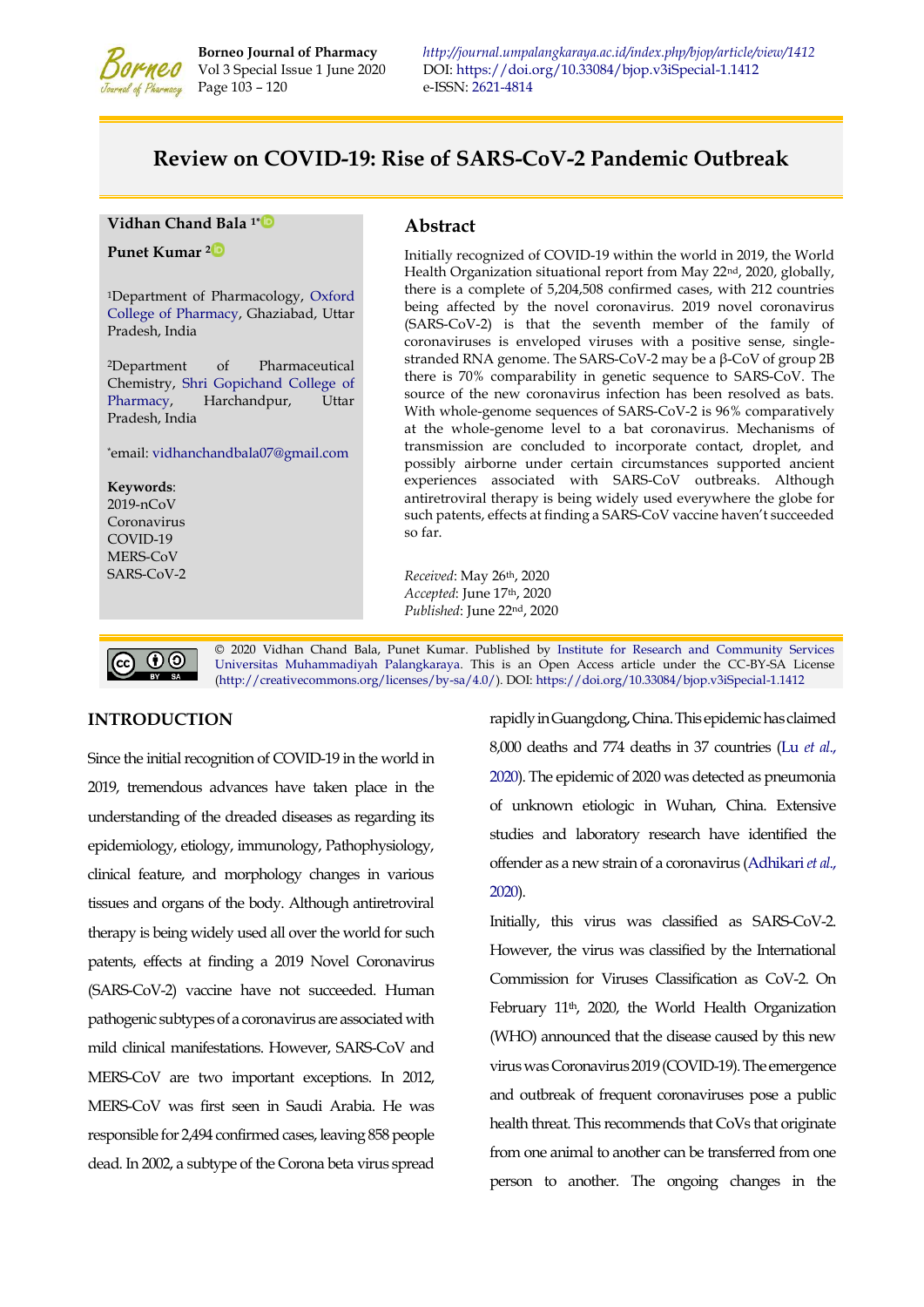

**Borneo Journal of Pharmacy** *<http://journal.umpalangkaraya.ac.id/index.php/bjop/article/view/1412>* Vol 3 Special Issue 1 June 2020 DOI: https://doi.org/10.33084/bjop.v3iSpecial-1.1412 *V*MCO Vol 3 Special Issue 1 June 2020 DOI:<https://doi.org/10.33084/bjop.v3iSpecial-1.1412><br>  $V_{\text{eff}}$  Pharmacy Page 103 – 120 e-ISSN: 2621-4814 e-ISSN[: 2621-4814](https://portal.issn.org/resource/ISSN/2621-4814)

# **Review on COVID-19: Rise of SARS-CoV-2 Pandemic Outbreak**

**Vidhan Chand Bala 1[\\*](https://orcid.org/0000-0003-3461-3633)** 

**Punet Kumar <sup>2</sup>**

<sup>1</sup>Department of Pharmacology, [Oxford](http://www.theoxford.edu/pharmacy/)  [College of Pharmacy,](http://www.theoxford.edu/pharmacy/) Ghaziabad, Uttar Pradesh, India

<sup>2</sup>Department of Pharmaceutical Chemistry, [Shri Gopichand College of](http://shrigopichandpharmacy.org/)  [Pharmacy,](http://shrigopichandpharmacy.org/) Harchandpur, Uttar Pradesh, India

\*email: [vidhanchandbala07@gmail.com](mailto:vidhanchandbala07@gmail.com)

**Keywords**: 2019-nCoV Coronavirus COVID-19 MERS-CoV SARS-CoV-2

## **Abstract**

Initially recognized of COVID-19 within the world in 2019, the World Health Organization situational report from May 22nd, 2020, globally, there is a complete of 5,204,508 confirmed cases, with 212 countries being affected by the novel coronavirus. 2019 novel coronavirus (SARS-CoV-2) is that the seventh member of the family of coronaviruses is enveloped viruses with a positive sense, singlestranded RNA genome. The SARS-CoV-2 may be a β-CoV of group 2B there is 70% comparability in genetic sequence to SARS-CoV. The source of the new coronavirus infection has been resolved as bats. With whole-genome sequences of SARS-CoV-2 is 96% comparatively at the whole-genome level to a bat coronavirus. Mechanisms of transmission are concluded to incorporate contact, droplet, and possibly airborne under certain circumstances supported ancient experiences associated with SARS-CoV outbreaks. Although antiretroviral therapy is being widely used everywhere the globe for such patents, effects at finding a SARS-CoV vaccine haven't succeeded so far.

*Received*: May 26th, 2020 *Accepted*: June 17th, 2020 *Published*: June 22nd, 2020

© 2020 Vidhan Chand Bala, Punet Kumar. Published by [Institute for Research and Community Services](http://journal.umpalangkaraya.ac.id/)  $\boldsymbol{0}$ [Universitas Muhammadiyah Palangkaraya.](http://umpalangkaraya.ac.id/) This is an Open Access article under the CC-BY-SA License [\(http://creativecommons.org/licenses/by-sa/4.0/\)](http://creativecommons.org/licenses/by-sa/4.0/). DOI[: https://doi.org/10.33084/bjop.v3iSpecial-1.1412](https://doi.org/10.33084/bjop.v3iSpecial-1.1412)

## **INTRODUCTION**

(cc)

Since the initial recognition of COVID-19 in the world in 2019, tremendous advances have taken place in the understanding of the dreaded diseases as regarding its epidemiology, etiology, immunology, Pathophysiology, clinical feature, and morphology changes in various tissues and organs of the body. Although antiretroviral therapy is being widely used all over the world for such patents, effects at finding a 2019 Novel Coronavirus (SARS-CoV-2) vaccine have not succeeded. Human pathogenic subtypes of a coronavirus are associated with mild clinical manifestations. However, SARS-CoV and MERS-CoV are two important exceptions. In 2012, MERS-CoV was first seen in Saudi Arabia. He was responsible for 2,494 confirmed cases, leaving 858 people dead. In 2002, a subtype of the Corona beta virus spread rapidly in Guangdong, China. This epidemic has claimed 8,000 deaths and 774 deaths in 37 countries (Lu *[et al](#page-15-0)*., [2020\)](#page-15-0). The epidemic of 2020 was detected as pneumonia of unknown etiologic in Wuhan, China. Extensive studies and laboratory research have identified the offender as a new strain of a coronavirus [\(Adhikari](#page-11-0) *et al*., [2020\)](#page-11-0).

Initially, this virus was classified as SARS-CoV-2. However, the virus was classified by the International Commission for Viruses Classification as CoV-2. On February 11<sup>th</sup>, 2020, the World Health Organization (WHO) announced that the disease caused by this new virus was Coronavirus 2019 (COVID-19). The emergence and outbreak of frequent coronaviruses pose a public health threat. This recommends that CoVs that originate from one animal to another can be transferred from one person to another. The ongoing changes in the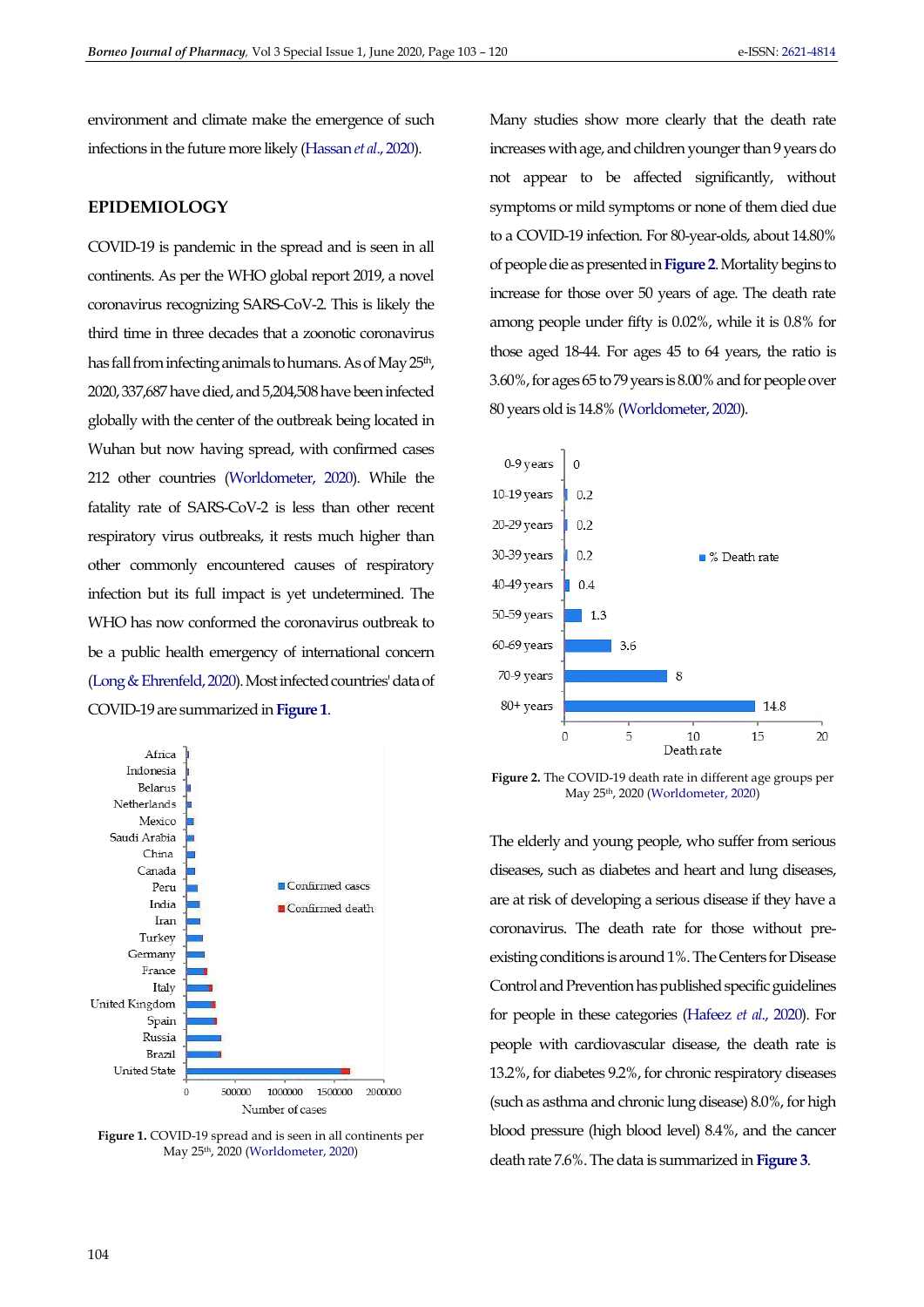environment and climate make the emergence of such infections in the future more likely [\(Hassan](#page-14-0) *et al*., 2020).

# **EPIDEMIOLOGY**

COVID-19 is pandemic in the spread and is seen in all continents. As per the WHO global report 2019, a novel coronavirus recognizing SARS-CoV-2. This is likely the third time in three decades that a zoonotic coronavirus has fall from infecting animals to humans. As of May 25<sup>th</sup>, 2020, 337,687 have died, and 5,204,508 have been infected globally with the center of the outbreak being located in Wuhan but now having spread, with confirmed cases 212 other countries [\(Worldometer, 2020\)](#page-16-0). While the fatality rate of SARS-CoV-2 is less than other recent respiratory virus outbreaks, it rests much higher than other commonly encountered causes of respiratory infection but its full impact is yet undetermined. The WHO has now conformed the coronavirus outbreak to be a public health emergency of international concern [\(Long & Ehrenfeld, 2020\)](#page-15-1). Most infected countries' data of COVID-19 are summarized in **[Figure 1](#page-1-0)**.

<span id="page-1-0"></span>

**Figure 1.** COVID-19 spread and is seen in all continents per May 25th, 2020 [\(Worldometer, 2020\)](#page-16-0) 

Many studies show more clearly that the death rate increases with age, and children younger than 9 years do not appear to be affected significantly, without symptoms or mild symptoms or none of them died due to a COVID-19 infection. For 80-year-olds, about 14.80% of people die as presented in **[Figure 2](#page-1-1)**. Mortality begins to increase for those over 50 years of age. The death rate among people under fifty is 0.02%, while it is 0.8% for those aged 18-44. For ages 45 to 64 years, the ratio is 3.60%, for ages 65 to 79 years is 8.00% and for people over 80 years old is 14.8% [\(Worldometer, 2020\)](#page-16-0).

<span id="page-1-1"></span>

**Figure 2.** The COVID-19 death rate in different age groups per May 25th, 2020 [\(Worldometer, 2020\)](#page-16-0)

The elderly and young people, who suffer from serious diseases, such as diabetes and heart and lung diseases, are at risk of developing a serious disease if they have a coronavirus. The death rate for those without preexisting conditions is around 1%. The Centers for Disease Control and Prevention has published specific guidelines for people in these categories [\(Hafeez](#page-13-0) *et al*., 2020). For people with cardiovascular disease, the death rate is 13.2%, for diabetes 9.2%, for chronic respiratory diseases (such as asthma and chronic lung disease) 8.0%, for high blood pressure (high blood level) 8.4%, and the cancer death rate 7.6%. The data is summarized in **[Figure 3](#page-2-0)**.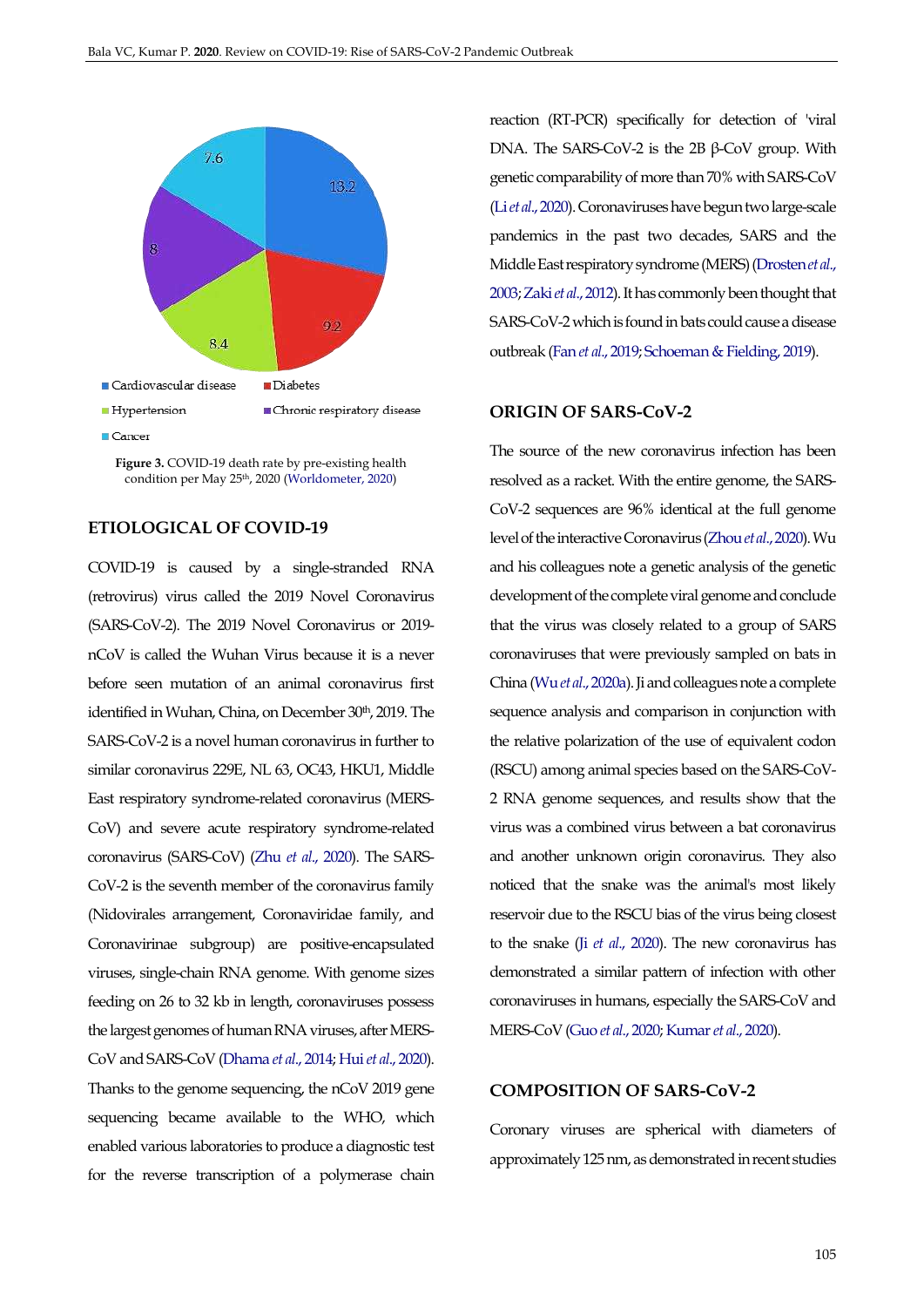<span id="page-2-0"></span>

**Figure 3.** COVID-19 death rate by pre-existing health condition per May 25th, 2020 [\(Worldometer, 2020\)](#page-16-0)

# **ETIOLOGICAL OF COVID-19**

COVID-19 is caused by a single-stranded RNA (retrovirus) virus called the 2019 Novel Coronavirus (SARS-CoV-2). The 2019 Novel Coronavirus or 2019 nCoV is called the Wuhan Virus because it is a never before seen mutation of an animal coronavirus first identified in Wuhan, China, on December 30<sup>th</sup>, 2019. The SARS-CoV-2 is a novel human coronavirus in further to similar coronavirus 229E, NL 63, OC43, HKU1, Middle East respiratory syndrome-related coronavirus (MERS-CoV) and severe acute respiratory syndrome-related coronavirus (SARS-CoV) (Zhu *et al*[., 2020\)](#page-17-0). The SARS-CoV-2 is the seventh member of the coronavirus family (Nidovirales arrangement, Coronaviridae family, and Coronavirinae subgroup) are positive-encapsulated viruses, single-chain RNA genome. With genome sizes feeding on 26 to 32 kb in length, coronaviruses possess the largest genomes of human RNA viruses, after MERS-CoV and SARS-CoV [\(Dhama](#page-13-1) *et al*., 2014; Hui *et al*[., 2020\)](#page-14-1). Thanks to the genome sequencing, the nCoV 2019 gene sequencing became available to the WHO, which enabled various laboratories to produce a diagnostic test for the reverse transcription of a polymerase chain reaction (RT-PCR) specifically for detection of 'viral DNA. The SARS-CoV-2 is the 2B  $β$ -CoV group. With genetic comparability of more than 70% with SARS-CoV (Li *et al*[., 2020\)](#page-14-2). Coronaviruses have begun two large-scale pandemics in the past two decades, SARS and the Middle East respiratory syndrome (MERS) [\(Drosten](#page-13-2) *et al*., [2003;](#page-13-2) Zaki *et al*[., 2012\)](#page-16-1). It has commonly been thought that SARS-CoV-2 which is found in bats could cause a disease outbreak (Fan *et al*[., 2019;](#page-13-3) [Schoeman & Fielding, 2019\)](#page-15-2).

# **ORIGIN OF SARS-CoV-2**

The source of the new coronavirus infection has been resolved as a racket. With the entire genome, the SARS-CoV-2 sequences are 96% identical at the full genome level of the interactive Coronavirus [\(Zhou](#page-17-1) *et al*., 2020). Wu and his colleagues note a genetic analysis of the genetic development of the complete viral genome and conclude that the virus was closely related to a group of SARS coronaviruses that were previously sampled on bats in China (Wu *et al*[., 2020a\)](#page-16-2). Ji and colleagues note a complete sequence analysis and comparison in conjunction with the relative polarization of the use of equivalent codon (RSCU) among animal species based on the SARS-CoV-2 RNA genome sequences, and results show that the virus was a combined virus between a bat coronavirus and another unknown origin coronavirus. They also noticed that the snake was the animal's most likely reservoir due to the RSCU bias of the virus being closest to the snake (Ji *et al*[., 2020\)](#page-14-3). The new coronavirus has demonstrated a similar pattern of infection with other coronaviruses in humans, especially the SARS-CoV and MERS-CoV (Guo *et al*[., 2020;](#page-13-4) [Kumar](#page-14-4) *et al*., 2020).

# **COMPOSITION OF SARS-CoV-2**

Coronary viruses are spherical with diameters of approximately 125 nm, as demonstrated in recent studies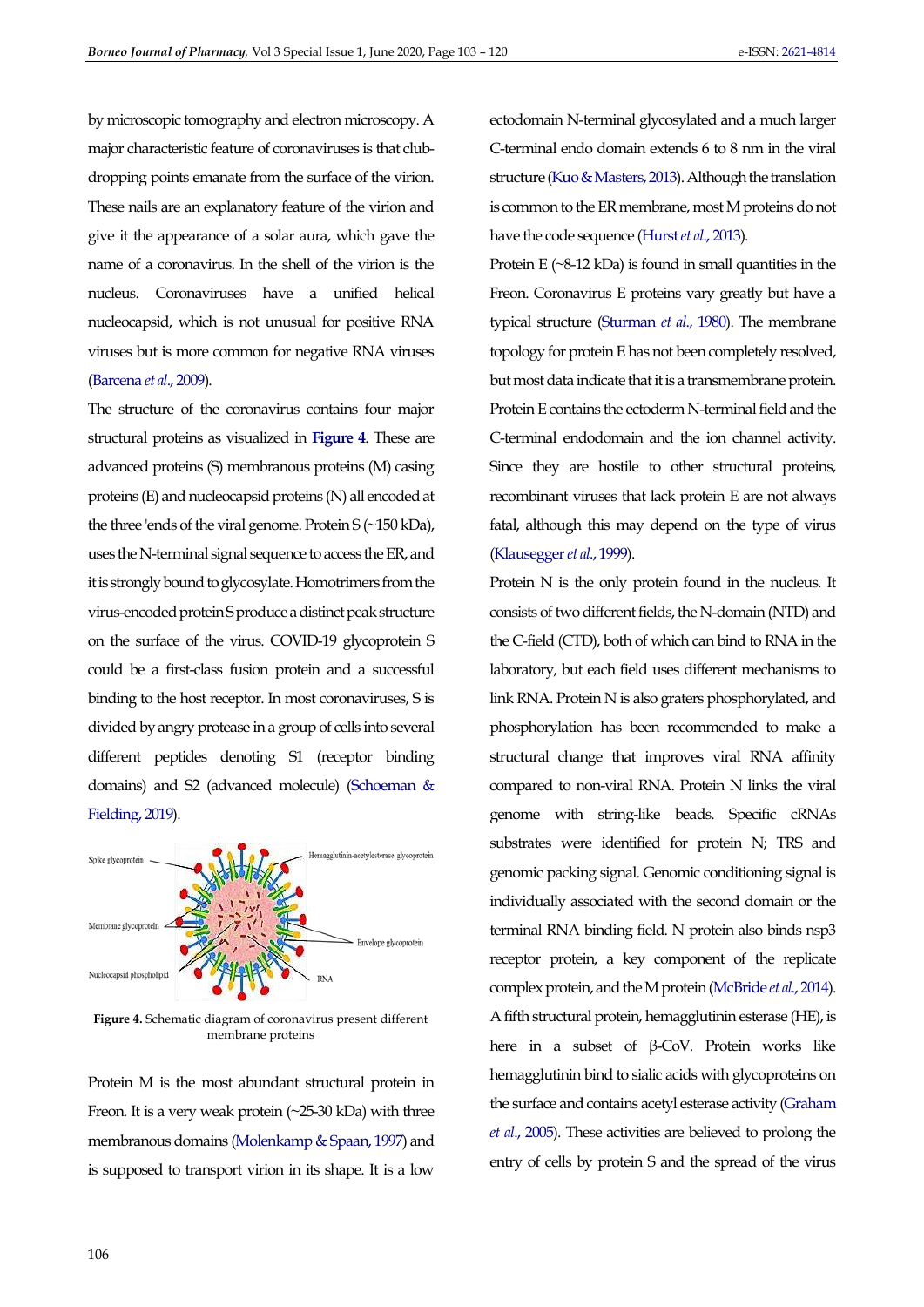by microscopic tomography and electron microscopy. A major characteristic feature of coronaviruses is that clubdropping points emanate from the surface of the virion. These nails are an explanatory feature of the virion and give it the appearance of a solar aura, which gave the name of a coronavirus. In the shell of the virion is the nucleus. Coronaviruses have a unified helical nucleocapsid, which is not unusual for positive RNA viruses but is more common for negative RNA viruses [\(Barcena](#page-11-1) *et al*., 2009).

The structure of the coronavirus contains four major structural proteins as visualized in **[Figure 4](#page-3-0)**. These are advanced proteins (S) membranous proteins (M) casing proteins (E) and nucleocapsid proteins (N) all encoded at the three 'ends of the viral genome. Protein S (~150 kDa), uses the N-terminal signal sequence to access the ER, and it is strongly bound to glycosylate. Homotrimers from the virus-encoded protein S produce a distinct peak structure on the surface of the virus. COVID-19 glycoprotein S could be a first-class fusion protein and a successful binding to the host receptor. In most coronaviruses, S is divided by angry protease in a group of cells into several different peptides denoting S1 (receptor binding domains) and S2 (advanced molecule) [\(Schoeman &](#page-15-2)  [Fielding, 2019\)](#page-15-2).

<span id="page-3-0"></span>

**Figure 4.** Schematic diagram of coronavirus present different membrane proteins

Protein M is the most abundant structural protein in Freon. It is a very weak protein (~25-30 kDa) with three membranous domains [\(Molenkamp & Spaan, 1997\)](#page-15-3) and is supposed to transport virion in its shape. It is a low

ectodomain N-terminal glycosylated and a much larger C-terminal endo domain extends 6 to 8 nm in the viral structure [\(Kuo & Masters, 2013\)](#page-14-5). Although the translation is common to the ER membrane, most M proteins do not have the code sequence [\(Hurst](#page-14-6) *et al*., 2013).

Protein  $E$  ( $\sim$ 8-12 kDa) is found in small quantities in the Freon. Coronavirus E proteins vary greatly but have a typical structure [\(Sturman](#page-16-3) *et al*., 1980). The membrane topology for protein E has not been completely resolved, but most data indicate that it is a transmembrane protein. Protein E contains the ectoderm N-terminal field and the C-terminal endodomain and the ion channel activity. Since they are hostile to other structural proteins, recombinant viruses that lack protein E are not always fatal, although this may depend on the type of virus [\(Klausegger](#page-14-7) *et al*., 1999).

Protein N is the only protein found in the nucleus. It consists of two different fields, the N-domain (NTD) and the C-field (CTD), both of which can bind to RNA in the laboratory, but each field uses different mechanisms to link RNA. Protein N is also graters phosphorylated, and phosphorylation has been recommended to make a structural change that improves viral RNA affinity compared to non-viral RNA. Protein N links the viral genome with string-like beads. Specific cRNAs substrates were identified for protein N; TRS and genomic packing signal. Genomic conditioning signal is individually associated with the second domain or the terminal RNA binding field. N protein also binds nsp3 receptor protein, a key component of the replicate complex protein, and the M protein [\(McBride](#page-15-4) *et al*., 2014). A fifth structural protein, hemagglutinin esterase (HE), is here in a subset of β-CoV. Protein works like hemagglutinin bind to sialic acids with glycoproteins on the surface and contains acetyl esterase activity [\(Graham](#page-13-5)  *et al*[., 2005\)](#page-13-5). These activities are believed to prolong the entry of cells by protein S and the spread of the virus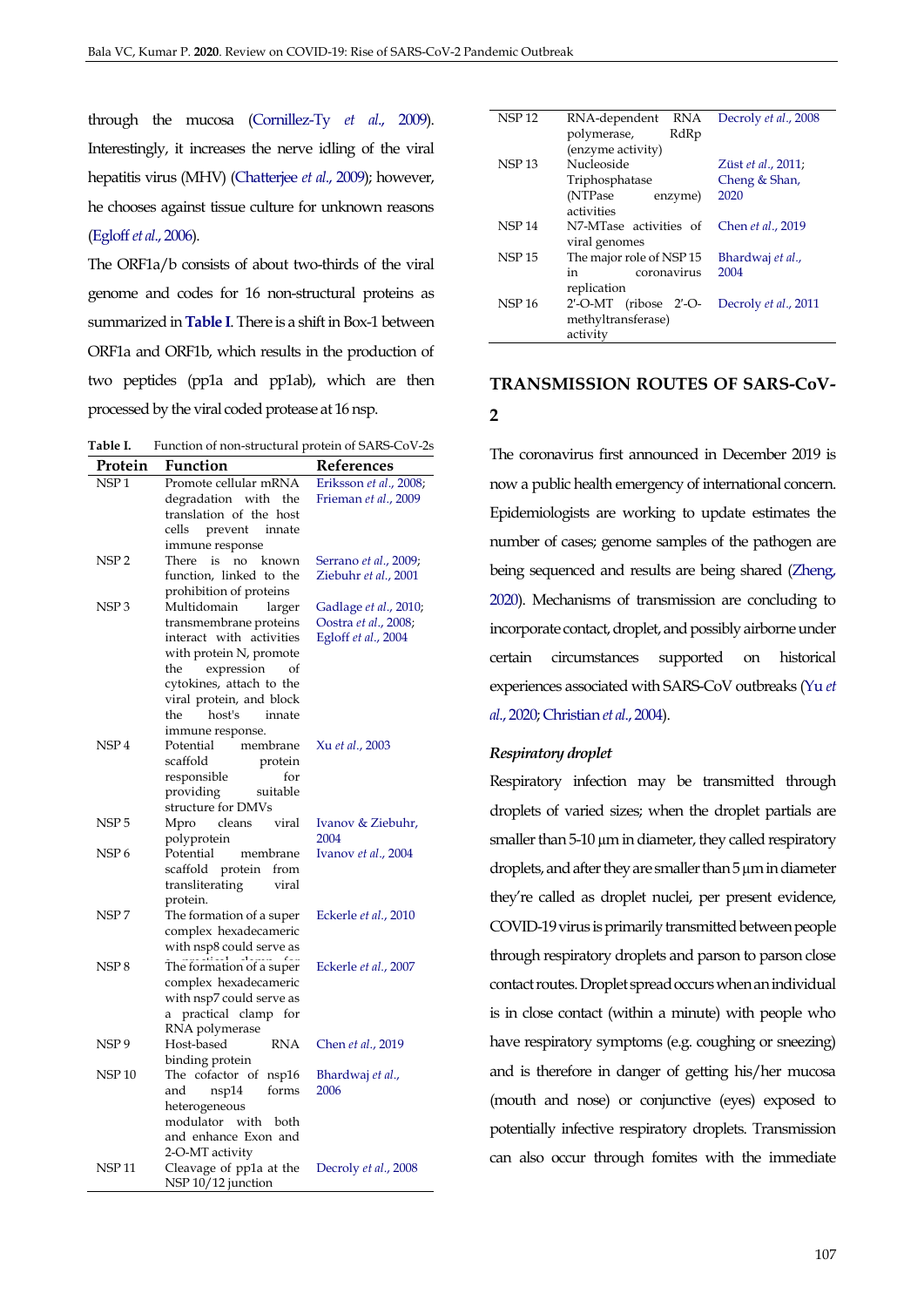through the mucosa [\(Cornillez-Ty](#page-12-0) *et al*., 2009). Interestingly, it increases the nerve idling of the viral hepatitis virus (MHV) [\(Chatterjee](#page-12-1) *et al*., 2009); however, he chooses against tissue culture for unknown reasons [\(Egloff](#page-13-6) *et al*., 2006).

The ORF1a/b consists of about two-thirds of the viral genome and codes for 16 non-structural proteins as summarized in **[Table I](#page-4-0)**. There is a shift in Box-1 between ORF1a and ORF1b, which results in the production of two peptides (pp1a and pp1ab), which are then processed by the viral coded protease at 16 nsp.

<span id="page-4-0"></span>**Table I.** Function of non-structural protein of SARS-CoV-2s

| Protein           | Function                                     | References                |
|-------------------|----------------------------------------------|---------------------------|
| NSP <sub>1</sub>  | Promote cellular mRNA                        | Eriksson et al., 2008;    |
|                   | degradation with the                         | Frieman et al., 2009      |
|                   | translation of the host                      |                           |
|                   | prevent<br>cells<br>innate                   |                           |
|                   | immune response                              |                           |
| NSP <sub>2</sub>  | is<br>no<br>There<br>known                   | Serrano et al., 2009;     |
|                   | function, linked to the                      | Ziebuhr et al., 2001      |
|                   | prohibition of proteins                      |                           |
| NSP <sub>3</sub>  | Multidomain<br>larger                        | Gadlage et al., 2010;     |
|                   | transmembrane proteins                       | Oostra et al., 2008;      |
|                   | interact with activities                     | Egloff et al., 2004       |
|                   | with protein N, promote                      |                           |
|                   | expression<br>the                            |                           |
|                   | cytokines, attach to the                     |                           |
|                   | viral protein, and block                     |                           |
|                   | host's<br>the<br>innate                      |                           |
|                   | immune response.                             |                           |
| NSP <sub>4</sub>  | Potential<br>membrane<br>scaffold<br>protein | Xu et al., 2003           |
|                   | for                                          |                           |
|                   | responsible<br>providing<br>suitable         |                           |
|                   | structure for DMVs                           |                           |
| NSP 5             | cleans<br>viral<br>Mpro                      | Ivanov & Ziebuhr,         |
|                   | polyprotein                                  | 2004                      |
| NSP <sub>6</sub>  | Potential<br>membrane                        | Ivanov et al., 2004       |
|                   | scaffold protein from                        |                           |
|                   | transliterating<br>viral                     |                           |
|                   | protein.                                     |                           |
| NSP 7             | The formation of a super                     | Eckerle et al., 2010      |
|                   | complex hexadecameric                        |                           |
|                   | with nsp8 could serve as                     |                           |
| NSP <sub>8</sub>  | The formation of a super                     | Eckerle et al., 2007      |
|                   | complex hexadecameric                        |                           |
|                   | with nsp7 could serve as                     |                           |
|                   | practical clamp<br>for<br>a                  |                           |
|                   | RNA polymerase                               |                           |
| NSP <sub>9</sub>  | Host-based<br><b>RNA</b>                     | Chen <i>et al.</i> , 2019 |
|                   | binding protein                              |                           |
| NSP <sub>10</sub> | The cofactor of nsp16                        | Bhardwaj et al.,          |
|                   | nsp14<br>forms<br>and                        | 2006                      |
|                   | heterogeneous                                |                           |
|                   | modulator with<br>both                       |                           |
|                   | and enhance Exon and                         |                           |
|                   | 2-O-MT activity                              |                           |
| <b>NSP 11</b>     | Cleavage of pp1a at the                      | Decroly et al., 2008      |
|                   | NSP 10/12 junction                           |                           |

| <b>NSP12</b>  | RNA-dependent<br>RNA          | Decroly et al., 2008 |  |
|---------------|-------------------------------|----------------------|--|
|               | RdRp<br>polymerase,           |                      |  |
|               | (enzyme activity)             |                      |  |
| <b>NSP13</b>  | <b>Nucleoside</b>             | Züst et al., 2011;   |  |
|               | Triphosphatase                | Cheng & Shan,        |  |
|               | (NTPase)<br>enzyme)           | 2020                 |  |
|               | activities                    |                      |  |
| <b>NSP 14</b> | N7-MTase activities of        | Chen et al., 2019    |  |
|               | viral genomes                 |                      |  |
| <b>NSP 15</b> | The major role of NSP 15      | Bhardwaj et al.,     |  |
|               | coronavirus<br>in             | 2004                 |  |
|               | replication                   |                      |  |
| <b>NSP16</b>  | $2'$ -O-MT<br>$(ribose 2'-O-$ | Decroly et al., 2011 |  |
|               | methyltransferase)            |                      |  |
|               | activity                      |                      |  |

# **TRANSMISSION ROUTES OF SARS-CoV-2**

The coronavirus first announced in December 2019 is now a public health emergency of international concern. Epidemiologists are working to update estimates the number of cases; genome samples of the pathogen are being sequenced and results are being shared [\(Zheng,](#page-17-4)  [2020\)](#page-17-4). Mechanisms of transmission are concluding to incorporate contact, droplet, and possibly airborne under certain circumstances supported on historical experiences associated with SARS-CoV outbreaks [\(Yu](#page-16-5) *et al*[., 2020;](#page-16-5) [Christian](#page-12-7) *et al*., 2004).

#### *Respiratory droplet*

Respiratory infection may be transmitted through droplets of varied sizes; when the droplet partials are smaller than 5-10  $\mu$ m in diameter, they called respiratory droplets, and after they are smaller than 5  $\mu$ m in diameter they're called as droplet nuclei, per present evidence, COVID-19 virus is primarily transmitted between people through respiratory droplets and parson to parson close contact routes. Droplet spread occurs when an individual is in close contact (within a minute) with people who have respiratory symptoms (e.g. coughing or sneezing) and is therefore in danger of getting his/her mucosa (mouth and nose) or conjunctive (eyes) exposed to potentially infective respiratory droplets. Transmission can also occur through fomites with the immediate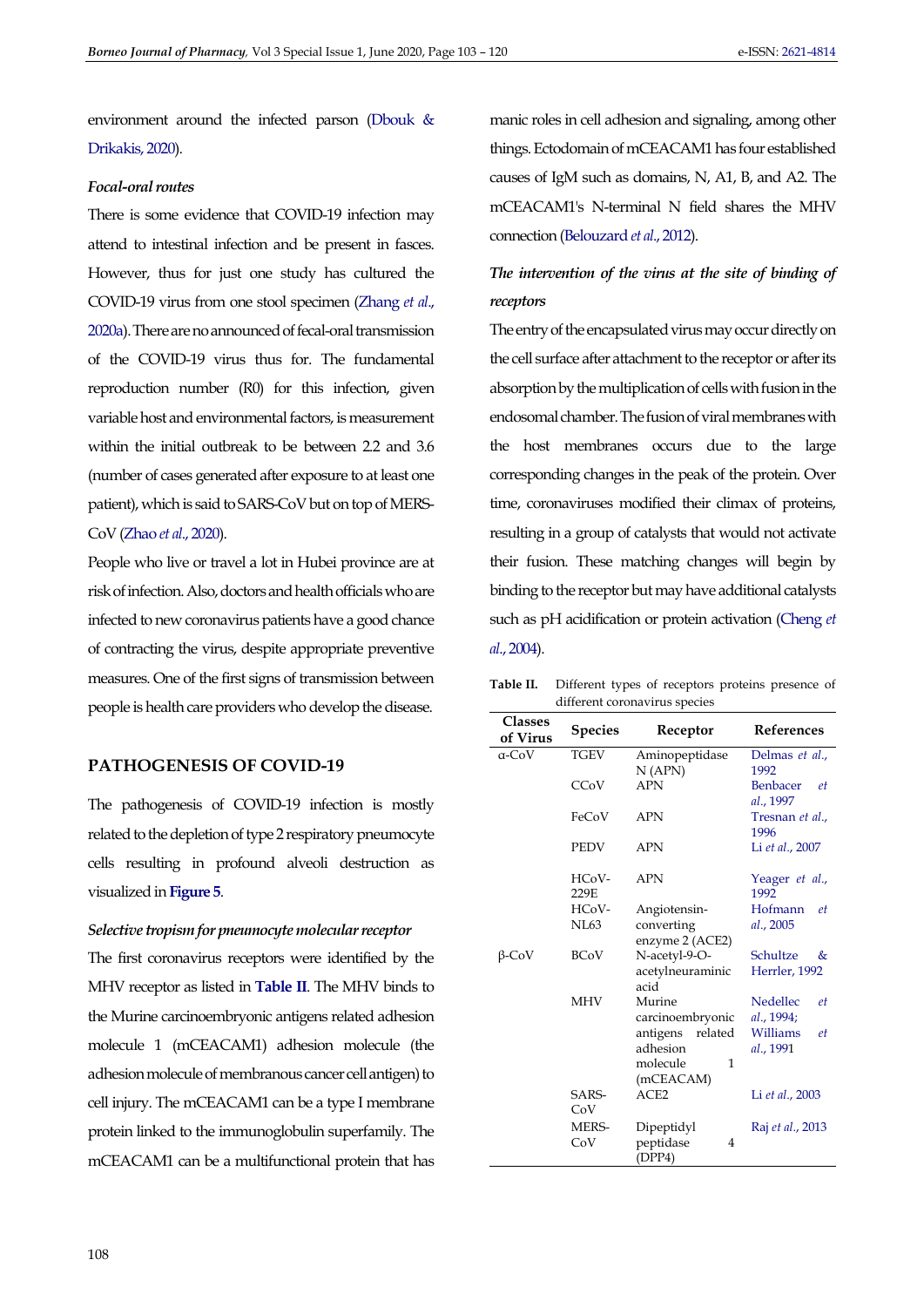environment around the infected parson [\(Dbouk &](#page-12-8)  [Drikakis, 2020\)](#page-12-8).

## *Focal-oral routes*

There is some evidence that COVID-19 infection may attend to intestinal infection and be present in fasces. However, thus for just one study has cultured the COVID-19 virus from one stool specimen [\(Zhang](#page-17-5) *et al*., [2020a\)](#page-17-5). There are no announced of fecal-oral transmission of the COVID-19 virus thus for. The fundamental reproduction number (R0) for this infection, given variable host and environmental factors, is measurement within the initial outbreak to be between 2.2 and 3.6 (number of cases generated after exposure to at least one patient), which is said to SARS-CoV but on top of MERS-CoV (Zhao *et al*[., 2020\)](#page-17-6).

People who live or travel a lot in Hubei province are at risk of infection. Also, doctors and health officials who are infected to new coronavirus patients have a good chance of contracting the virus, despite appropriate preventive measures. One of the first signs of transmission between people is health care providers who develop the disease.

# **PATHOGENESIS OF COVID-19**

The pathogenesis of COVID-19 infection is mostly related to the depletion of type 2 respiratory pneumocyte cells resulting in profound alveoli destruction as visualized in **[Figure 5](#page-6-0)**.

#### *Selective tropism for pneumocyte molecular receptor*

The first coronavirus receptors were identified by the MHV receptor as listed in **[Table II](#page-5-0)**. The MHV binds to the Murine carcinoembryonic antigens related adhesion molecule 1 (mCEACAM1) adhesion molecule (the adhesion molecule of membranous cancer cell antigen) to cell injury. The mCEACAM1 can be a type I membrane protein linked to the immunoglobulin superfamily. The mCEACAM1 can be a multifunctional protein that has manic roles in cell adhesion and signaling, among other things. Ectodomain of mCEACAM1 has four established causes of IgM such as domains, N, A1, B, and A2. The mCEACAM1's N-terminal N field shares the MHV connection [\(Belouzard](#page-11-3) *et al*., 2012).

# *The intervention of the virus at the site of binding of receptors*

The entry of the encapsulated virus may occur directly on the cell surface after attachment to the receptor or after its absorption by the multiplication of cells with fusion in the endosomal chamber. The fusion of viral membranes with the host membranes occurs due to the large corresponding changes in the peak of the protein. Over time, coronaviruses modified their climax of proteins, resulting in a group of catalysts that would not activate their fusion. These matching changes will begin by binding to the receptor but may have additional catalysts such as pH acidification or protein activation [\(Cheng](#page-12-9) *et al*[., 2004\)](#page-12-9).

<span id="page-5-0"></span>

| Table II. Different types of receptors proteins presence of |
|-------------------------------------------------------------|
| different coronavirus species                               |

| <b>Classes</b><br>of Virus | Species       | Receptor                      | References                  |
|----------------------------|---------------|-------------------------------|-----------------------------|
| a-CoV                      | <b>TGEV</b>   | Aminopeptidase                | Delmas et al.,              |
|                            |               | N(APN)                        | 1992                        |
|                            | CCoV          | <b>APN</b>                    | Benbacer<br>et<br>al., 1997 |
|                            | FeCoV         | <b>APN</b>                    | Tresnan et al.,<br>1996     |
|                            | <b>PEDV</b>   | <b>APN</b>                    | Li et al., 2007             |
|                            | HCoV-<br>229E | <b>APN</b>                    | Yeager et al.,<br>1992      |
|                            | HCoV-         | Angiotensin-                  | Hofmann<br>et.              |
|                            | <b>NL63</b>   | converting<br>enzyme 2 (ACE2) | al., 2005                   |
| β-CoV                      | <b>BCoV</b>   | N-acetyl-9-O-                 | Schultze<br>&               |
|                            |               | acetylneuraminic<br>acid      | Herrler, 1992               |
|                            | <b>MHV</b>    | Murine                        | Nedellec<br>et              |
|                            |               | carcinoembryonic              | al., 1994;                  |
|                            |               | related<br>antigens           | Williams<br>et              |
|                            |               | adhesion                      | al., 1991                   |
|                            |               | molecule<br>1                 |                             |
|                            |               | (mCEACAM)                     |                             |
|                            | SARS-<br>CoV  | ACE2                          | Li et al., 2003             |
|                            | MERS-         | Dipeptidyl                    | Raj et al., 2013            |
|                            | CoV           | peptidase<br>4<br>(DPP4)      |                             |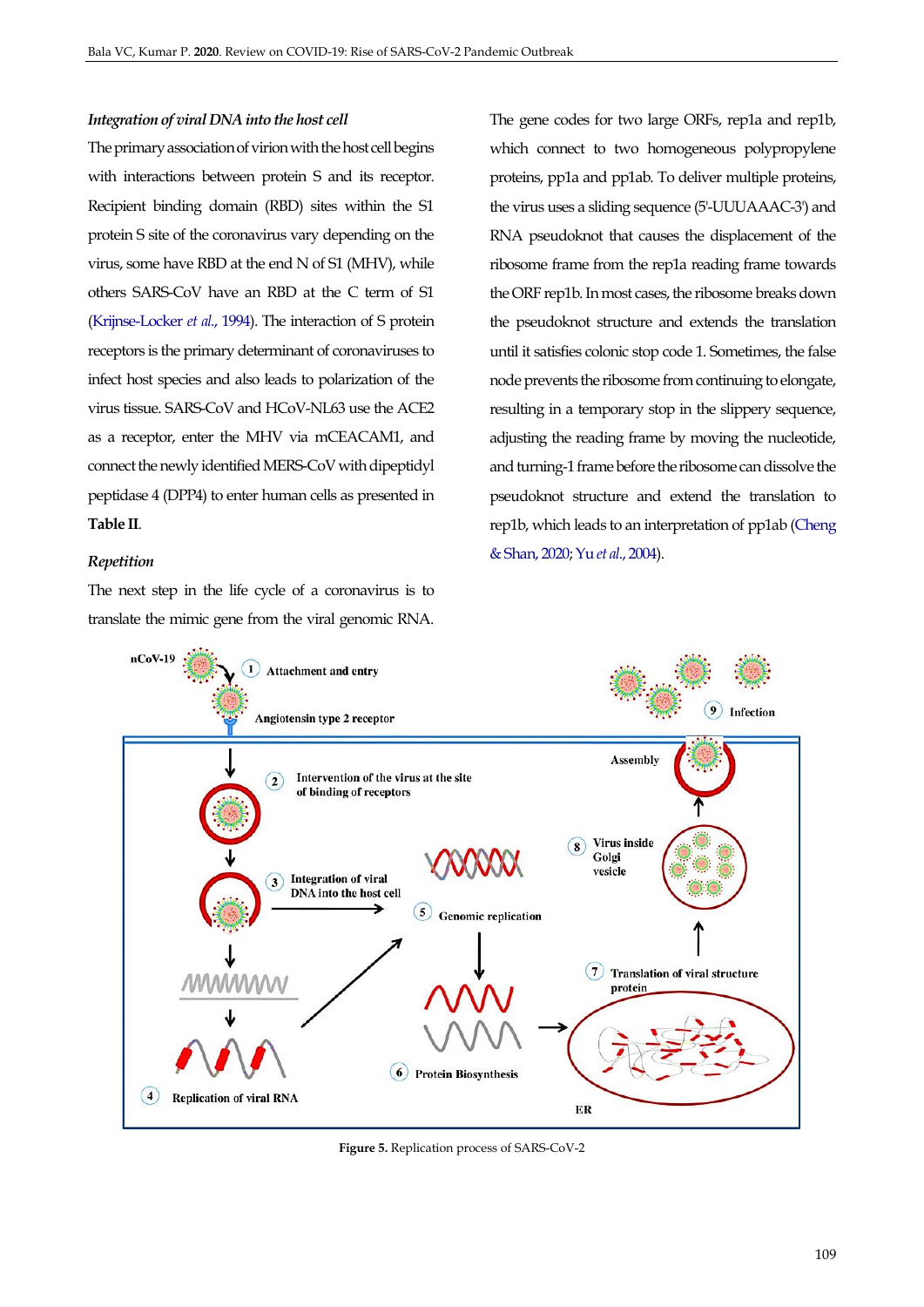## *Integration of viral DNA into the host cell*

The primary association of virion with the host cell begins with interactions between protein S and its receptor. Recipient binding domain (RBD) sites within the S1 protein S site of the coronavirus vary depending on the virus, some have RBD at the end N of S1 (MHV), while others SARS-CoV have an RBD at the C term of S1 [\(Krijnse-Locker](#page-14-12) *et al*., 1994). The interaction of S protein receptors is the primary determinant of coronaviruses to infect host species and also leads to polarization of the virus tissue. SARS-CoV and HCoV-NL63 use the ACE2 as a receptor, enter the MHV via mCEACAM1, and connect the newly identified MERS-CoV with dipeptidyl peptidase 4 (DPP4) to enter human cells as presented in **Table II**.

#### *Repetition*

The next step in the life cycle of a coronavirus is to translate the mimic gene from the viral genomic RNA. The gene codes for two large ORFs, rep1a and rep1b, which connect to two homogeneous polypropylene proteins, pp1a and pp1ab. To deliver multiple proteins, the virus uses a sliding sequence (5'-UUUAAAC-3') and RNA pseudoknot that causes the displacement of the ribosome frame from the rep1a reading frame towards the ORF rep1b. In most cases, the ribosome breaks down the pseudoknot structure and extends the translation until it satisfies colonic stop code 1. Sometimes, the false node prevents the ribosome from continuing to elongate, resulting in a temporary stop in the slippery sequence, adjusting the reading frame by moving the nucleotide, and turning-1 frame before the ribosome can dissolve the pseudoknot structure and extend the translation to rep1b, which leads to an interpretation of pp1ab [\(Cheng](#page-12-11)  [& Shan, 2020;](#page-12-11) Yu *et al*[., 2004\)](#page-16-5).

<span id="page-6-0"></span>

**Figure 5.** Replication process of SARS-CoV-2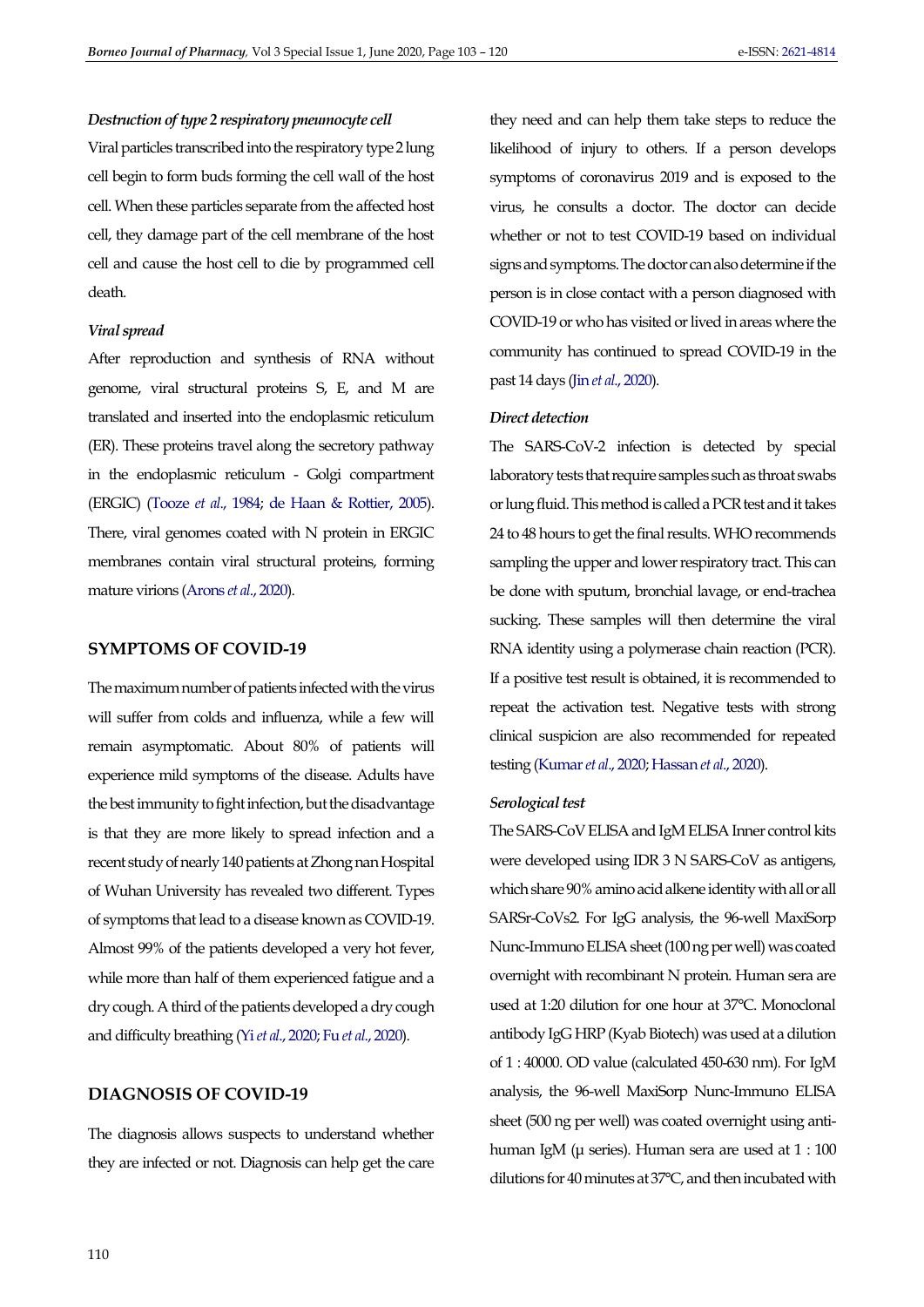## *Destruction of type 2 respiratory pneumocyte cell*

Viral particles transcribed into the respiratory type 2 lung cell begin to form buds forming the cell wall of the host cell. When these particles separate from the affected host cell, they damage part of the cell membrane of the host cell and cause the host cell to die by programmed cell death.

## *Viral spread*

After reproduction and synthesis of RNA without genome, viral structural proteins S, E, and M are translated and inserted into the endoplasmic reticulum (ER). These proteins travel along the secretory pathway in the endoplasmic reticulum - Golgi compartment (ERGIC) [\(Tooze](#page-16-9) *et al*., 1984; [de Haan & Rottier, 2005\)](#page-13-13). There, viral genomes coated with N protein in ERGIC membranes contain viral structural proteins, forming mature virions [\(Arons](#page-11-5) *et al*., 2020).

## **SYMPTOMS OF COVID-19**

The maximum number of patients infected with the virus will suffer from colds and influenza, while a few will remain asymptomatic. About 80% of patients will experience mild symptoms of the disease. Adults have the best immunity to fight infection, but the disadvantage is that they are more likely to spread infection and a recent study of nearly 140 patients at Zhong nan Hospital of Wuhan University has revealed two different. Types of symptoms that lead to a disease known as COVID-19. Almost 99% of the patients developed a very hot fever, while more than half of them experienced fatigue and a dry cough. A third of the patients developed a dry cough and difficulty breathing (Yi*et al*[., 2020;](#page-16-10) Fu *et al*[., 2020\)](#page-13-14).

# **DIAGNOSIS OF COVID-19**

The diagnosis allows suspects to understand whether they are infected or not. Diagnosis can help get the care they need and can help them take steps to reduce the likelihood of injury to others. If a person develops symptoms of coronavirus 2019 and is exposed to the virus, he consults a doctor. The doctor can decide whether or not to test COVID-19 based on individual signs and symptoms. The doctor can also determine if the person is in close contact with a person diagnosed with COVID-19 or who has visited or lived in areas where the community has continued to spread COVID-19 in the past 14 days (Jin *et al*[., 2020\)](#page-14-13).

## *Direct detection*

The SARS-CoV-2 infection is detected by special laboratory tests that require samples such as throat swabs or lung fluid. This method is called a PCR test and it takes 24 to 48 hours to get the final results. WHO recommends sampling the upper and lower respiratory tract. This can be done with sputum, bronchial lavage, or end-trachea sucking. These samples will then determine the viral RNA identity using a polymerase chain reaction (PCR). If a positive test result is obtained, it is recommended to repeat the activation test. Negative tests with strong clinical suspicion are also recommended for repeated testing [\(Kumar](#page-14-4) *et al*., 2020[; Hassan](#page-14-0) *et al*., 2020).

#### *Serological test*

The SARS-CoV ELISA and IgM ELISA Inner control kits were developed using IDR 3 N SARS-CoV as antigens, which share 90% amino acid alkene identity with all or all SARSr-CoVs2. For IgG analysis, the 96-well MaxiSorp Nunc-Immuno ELISA sheet (100 ng per well) was coated overnight with recombinant N protein. Human sera are used at 1:20 dilution for one hour at 37°C. Monoclonal antibody IgG HRP (Kyab Biotech) was used at a dilution of 1 : 40000. OD value (calculated 450-630 nm). For IgM analysis, the 96-well MaxiSorp Nunc-Immuno ELISA sheet (500 ng per well) was coated overnight using antihuman IgM (μ series). Human sera are used at 1 : 100 dilutions for 40 minutes at 37°C, and then incubated with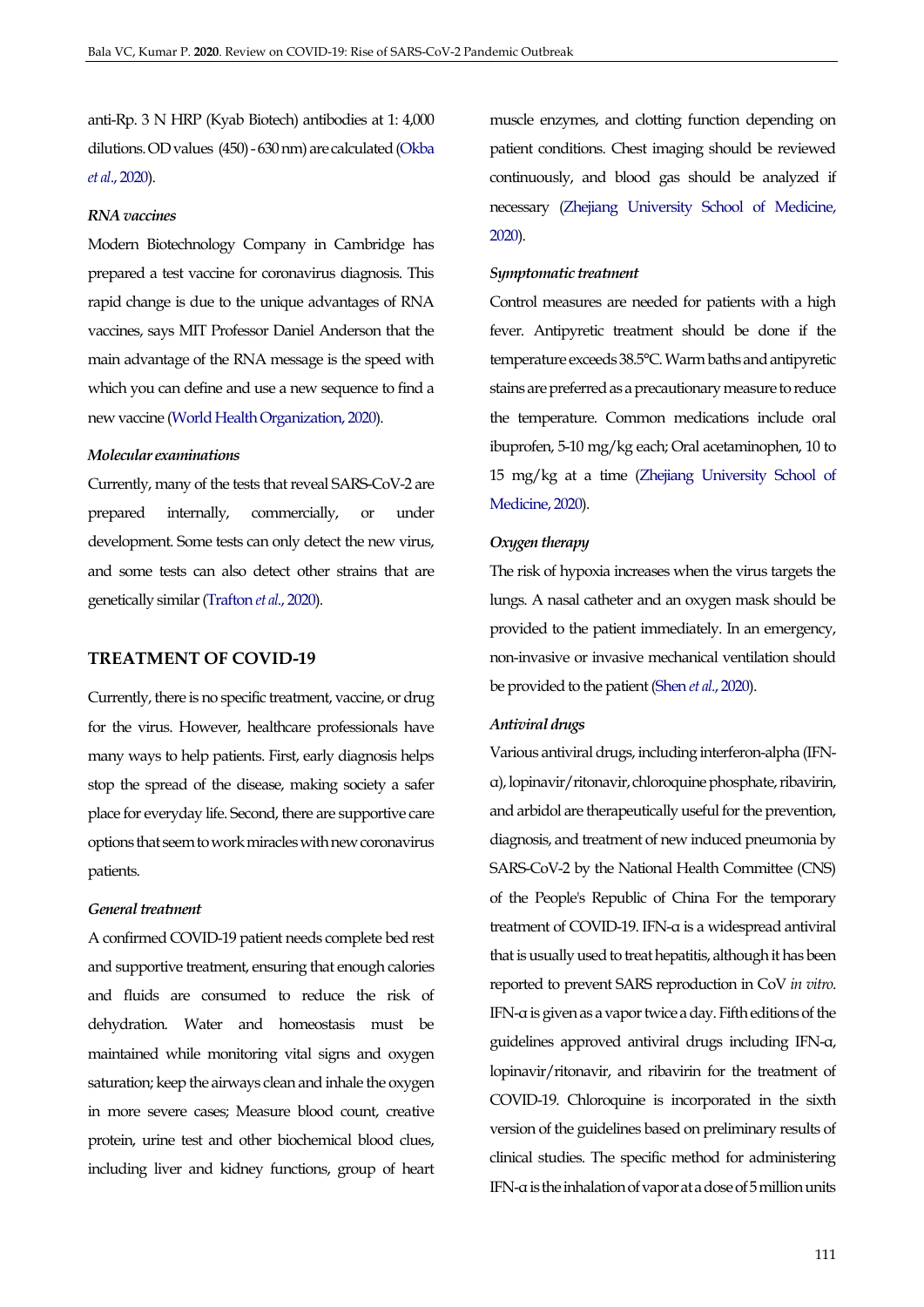anti-Rp. 3 N HRP (Kyab Biotech) antibodies at 1: 4,000 dilutions. OD values (450) - 630 nm) are calculated [\(Okba](#page-15-11)  *et al*[., 2020\)](#page-15-11).

# *RNA vaccines*

Modern Biotechnology Company in Cambridge has prepared a test vaccine for coronavirus diagnosis. This rapid change is due to the unique advantages of RNA vaccines, says MIT Professor Daniel Anderson that the main advantage of the RNA message is the speed with which you can define and use a new sequence to find a new vaccine [\(World Health Organization, 2020\)](#page-16-11).

#### *Molecular examinations*

Currently, many of the tests that reveal SARS-CoV-2 are prepared internally, commercially, or under development. Some tests can only detect the new virus, and some tests can also detect other strains that are genetically similar [\(Trafton](#page-16-12) *et al*., 2020).

# **TREATMENT OF COVID-19**

Currently, there is no specific treatment, vaccine, or drug for the virus. However, healthcare professionals have many ways to help patients. First, early diagnosis helps stop the spread of the disease, making society a safer place for everyday life. Second, there are supportive care options that seem to work miracles with new coronavirus patients.

## *General treatment*

A confirmed COVID-19 patient needs complete bed rest and supportive treatment, ensuring that enough calories and fluids are consumed to reduce the risk of dehydration. Water and homeostasis must be maintained while monitoring vital signs and oxygen saturation; keep the airways clean and inhale the oxygen in more severe cases; Measure blood count, creative protein, urine test and other biochemical blood clues, including liver and kidney functions, group of heart muscle enzymes, and clotting function depending on patient conditions. Chest imaging should be reviewed continuously, and blood gas should be analyzed if necessary [\(Zhejiang University School of Medicine,](#page-17-7)  [2020\)](#page-17-7).

#### *Symptomatic treatment*

Control measures are needed for patients with a high fever. Antipyretic treatment should be done if the temperature exceeds 38.5°C. Warm baths and antipyretic stains are preferred as a precautionary measure to reduce the temperature. Common medications include oral ibuprofen, 5-10 mg/kg each; Oral acetaminophen, 10 to 15 mg/kg at a time [\(Zhejiang University School of](#page-17-7)  [Medicine, 2020\)](#page-17-7).

## *Oxygen therapy*

The risk of hypoxia increases when the virus targets the lungs. A nasal catheter and an oxygen mask should be provided to the patient immediately. In an emergency, non-invasive or invasive mechanical ventilation should be provided to the patient (Shen *et al*[., 2020\)](#page-16-13).

#### *Antiviral drugs*

Various antiviral drugs, including interferon-alpha (IFNα), lopinavir/ritonavir, chloroquine phosphate, ribavirin, and arbidol are therapeutically useful for the prevention, diagnosis, and treatment of new induced pneumonia by SARS-CoV-2 by the National Health Committee (CNS) of the People's Republic of China For the temporary treatment of COVID-19. IFN-α is a widespread antiviral that is usually used to treat hepatitis, although it has been reported to prevent SARS reproduction in CoV *in vitro*. IFN-α is given as a vapor twice a day. Fifth editions of the guidelines approved antiviral drugs including IFN-α, lopinavir/ritonavir, and ribavirin for the treatment of COVID-19. Chloroquine is incorporated in the sixth version of the guidelines based on preliminary results of clinical studies. The specific method for administering IFN-α is the inhalation of vapor at a dose of 5 million units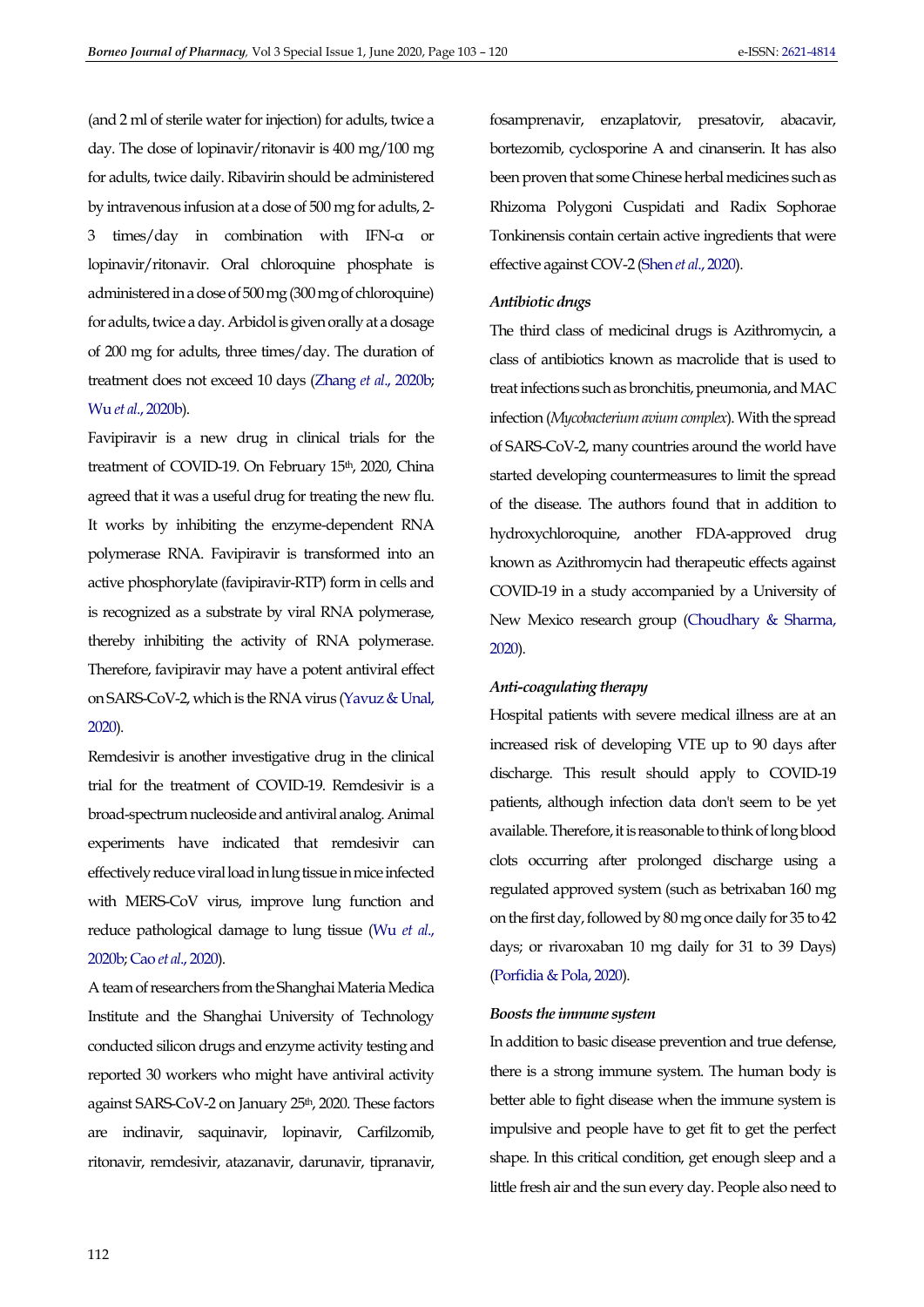(and 2 ml of sterile water for injection) for adults, twice a day. The dose of lopinavir/ritonavir is 400 mg/100 mg for adults, twice daily. Ribavirin should be administered by intravenous infusion at a dose of 500 mg for adults, 2- 3 times/day in combination with IFN-α or lopinavir/ritonavir. Oral chloroquine phosphate is administered in a dose of 500 mg (300 mg of chloroquine) for adults, twice a day. Arbidol is given orally at a dosage of 200 mg for adults, three times/day. The duration of treatment does not exceed 10 days (Zhang *et al*[., 2020b;](#page-17-8)  Wu *et al*[., 2020b\)](#page-16-14).

Favipiravir is a new drug in clinical trials for the treatment of COVID-19. On February 15<sup>th</sup>, 2020, China agreed that it was a useful drug for treating the new flu. It works by inhibiting the enzyme-dependent RNA polymerase RNA. Favipiravir is transformed into an active phosphorylate (favipiravir-RTP) form in cells and is recognized as a substrate by viral RNA polymerase, thereby inhibiting the activity of RNA polymerase. Therefore, favipiravir may have a potent antiviral effect on SARS-CoV-2, which is the RNA virus [\(Yavuz & Unal,](#page-16-15)  [2020\)](#page-16-15).

Remdesivir is another investigative drug in the clinical trial for the treatment of COVID-19. Remdesivir is a broad-spectrum nucleoside and antiviral analog. Animal experiments have indicated that remdesivir can effectively reduce viral load in lung tissue in mice infected with MERS-CoV virus, improve lung function and reduce pathological damage to lung tissue [\(Wu](#page-16-14) *et al*., [2020b;](#page-16-14) Cao *et al*[., 2020\)](#page-12-12).

A team of researchers from the Shanghai Materia Medica Institute and the Shanghai University of Technology conducted silicon drugs and enzyme activity testing and reported 30 workers who might have antiviral activity against SARS-CoV-2 on January 25<sup>th</sup>, 2020. These factors are indinavir, saquinavir, lopinavir, Carfilzomib, ritonavir, remdesivir, atazanavir, darunavir, tipranavir,

fosamprenavir, enzaplatovir, presatovir, abacavir, bortezomib, cyclosporine A and cinanserin. It has also been proven that some Chinese herbal medicines such as Rhizoma Polygoni Cuspidati and Radix Sophorae Tonkinensis contain certain active ingredients that were effective against COV-2 (Shen *et al*[., 2020\)](#page-16-13).

## *Antibiotic drugs*

The third class of medicinal drugs is Azithromycin, a class of antibiotics known as macrolide that is used to treat infections such as bronchitis, pneumonia, and MAC infection (*Mycobacterium avium complex*). With the spread of SARS-CoV-2, many countries around the world have started developing countermeasures to limit the spread of the disease. The authors found that in addition to hydroxychloroquine, another FDA-approved drug known as Azithromycin had therapeutic effects against COVID-19 in a study accompanied by a University of New Mexico research group [\(Choudhary & Sharma,](#page-12-13)  [2020\)](#page-12-13).

## *Anti-coagulating therapy*

Hospital patients with severe medical illness are at an increased risk of developing VTE up to 90 days after discharge. This result should apply to COVID-19 patients, although infection data don't seem to be yet available. Therefore, it is reasonable to think of long blood clots occurring after prolonged discharge using a regulated approved system (such as betrixaban 160 mg on the first day, followed by 80 mg once daily for 35 to 42 days; or rivaroxaban 10 mg daily for 31 to 39 Days) [\(Porfidia & Pola, 2020\)](#page-15-12).

#### *Boosts the immune system*

In addition to basic disease prevention and true defense, there is a strong immune system. The human body is better able to fight disease when the immune system is impulsive and people have to get fit to get the perfect shape. In this critical condition, get enough sleep and a little fresh air and the sun every day. People also need to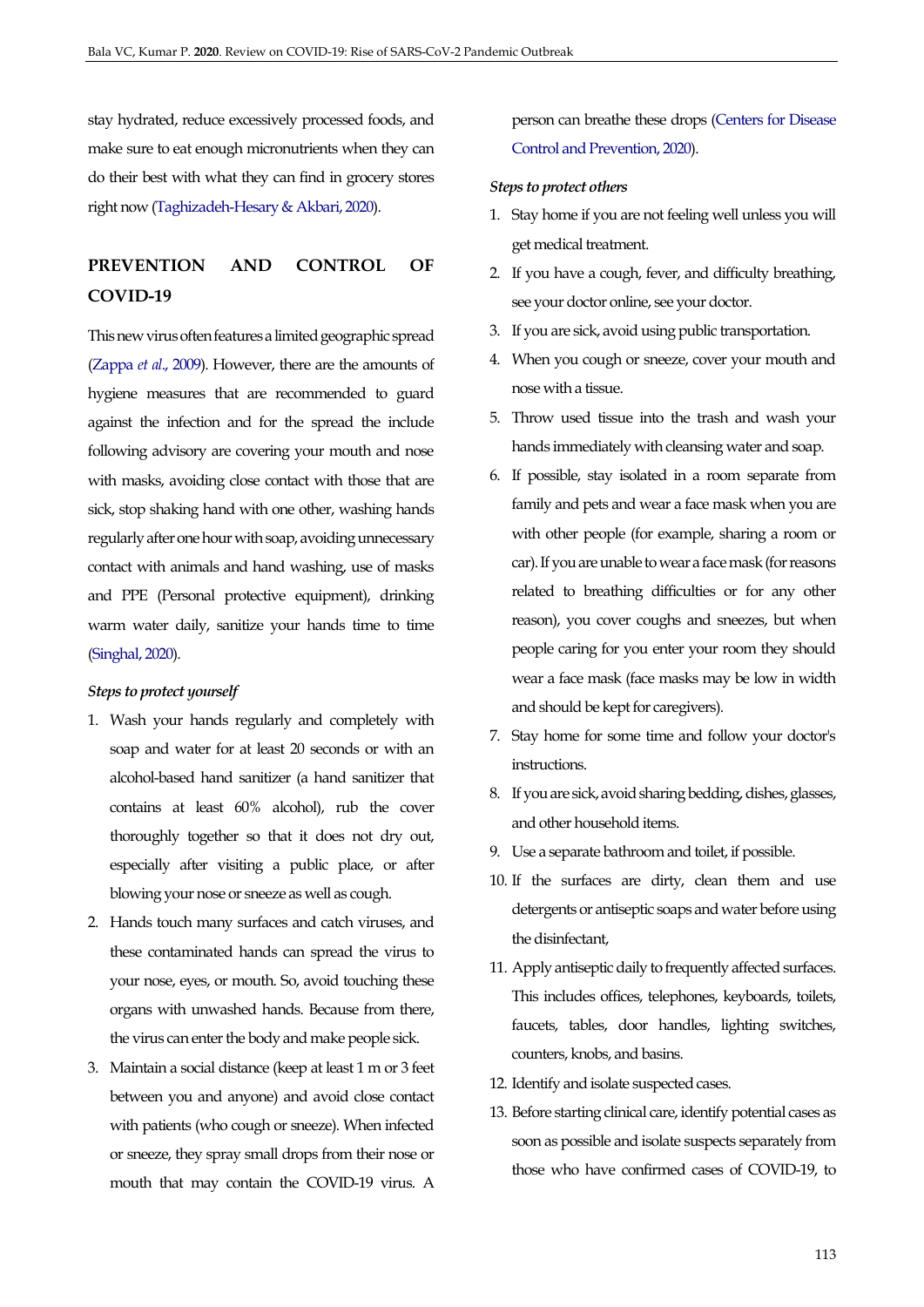stay hydrated, reduce excessively processed foods, and make sure to eat enough micronutrients when they can do their best with what they can find in grocery stores right now [\(Taghizadeh-Hesary & Akbari, 2020\)](#page-16-16).

# **PREVENTION AND CONTROL OF COVID-19**

This new virus often features a limited geographic spread [\(Zappa](#page-17-9) *et al*., 2009). However, there are the amounts of hygiene measures that are recommended to guard against the infection and for the spread the include following advisory are covering your mouth and nose with masks, avoiding close contact with those that are sick, stop shaking hand with one other, washing hands regularly after one hour with soap, avoiding unnecessary contact with animals and hand washing, use of masks and PPE (Personal protective equipment), drinking warm water daily, sanitize your hands time to time [\(Singhal, 2020\)](#page-16-17).

#### *Steps to protect yourself*

- 1. Wash your hands regularly and completely with soap and water for at least 20 seconds or with an alcohol-based hand sanitizer (a hand sanitizer that contains at least 60% alcohol), rub the cover thoroughly together so that it does not dry out, especially after visiting a public place, or after blowing your nose or sneeze as well as cough.
- 2. Hands touch many surfaces and catch viruses, and these contaminated hands can spread the virus to your nose, eyes, or mouth. So, avoid touching these organs with unwashed hands. Because from there, the virus can enter the body and make people sick.
- 3. Maintain a social distance (keep at least 1 m or 3 feet between you and anyone) and avoid close contact with patients (who cough or sneeze). When infected or sneeze, they spray small drops from their nose or mouth that may contain the COVID-19 virus. A

person can breathe these drops [\(Centers for Disease](#page-12-14)  [Control and Prevention, 2020\)](#page-12-14).

### *Steps to protect others*

- 1. Stay home if you are not feeling well unless you will get medical treatment.
- 2. If you have a cough, fever, and difficulty breathing, see your doctor online, see your doctor.
- 3. If you are sick, avoid using public transportation.
- 4. When you cough or sneeze, cover your mouth and nose with a tissue.
- 5. Throw used tissue into the trash and wash your hands immediately with cleansing water and soap.
- 6. If possible, stay isolated in a room separate from family and pets and wear a face mask when you are with other people (for example, sharing a room or car). If you are unable to wear a face mask (for reasons related to breathing difficulties or for any other reason), you cover coughs and sneezes, but when people caring for you enter your room they should wear a face mask (face masks may be low in width and should be kept for caregivers).
- 7. Stay home for some time and follow your doctor's instructions.
- 8. If you are sick, avoid sharing bedding, dishes, glasses, and other household items.
- 9. Use a separate bathroom and toilet, if possible.
- 10. If the surfaces are dirty, clean them and use detergents or antiseptic soaps and water before using the disinfectant,
- 11. Apply antiseptic daily to frequently affected surfaces. This includes offices, telephones, keyboards, toilets, faucets, tables, door handles, lighting switches, counters, knobs, and basins.
- 12. Identify and isolate suspected cases.
- 13. Before starting clinical care, identify potential cases as soon as possible and isolate suspects separately from those who have confirmed cases of COVID-19, to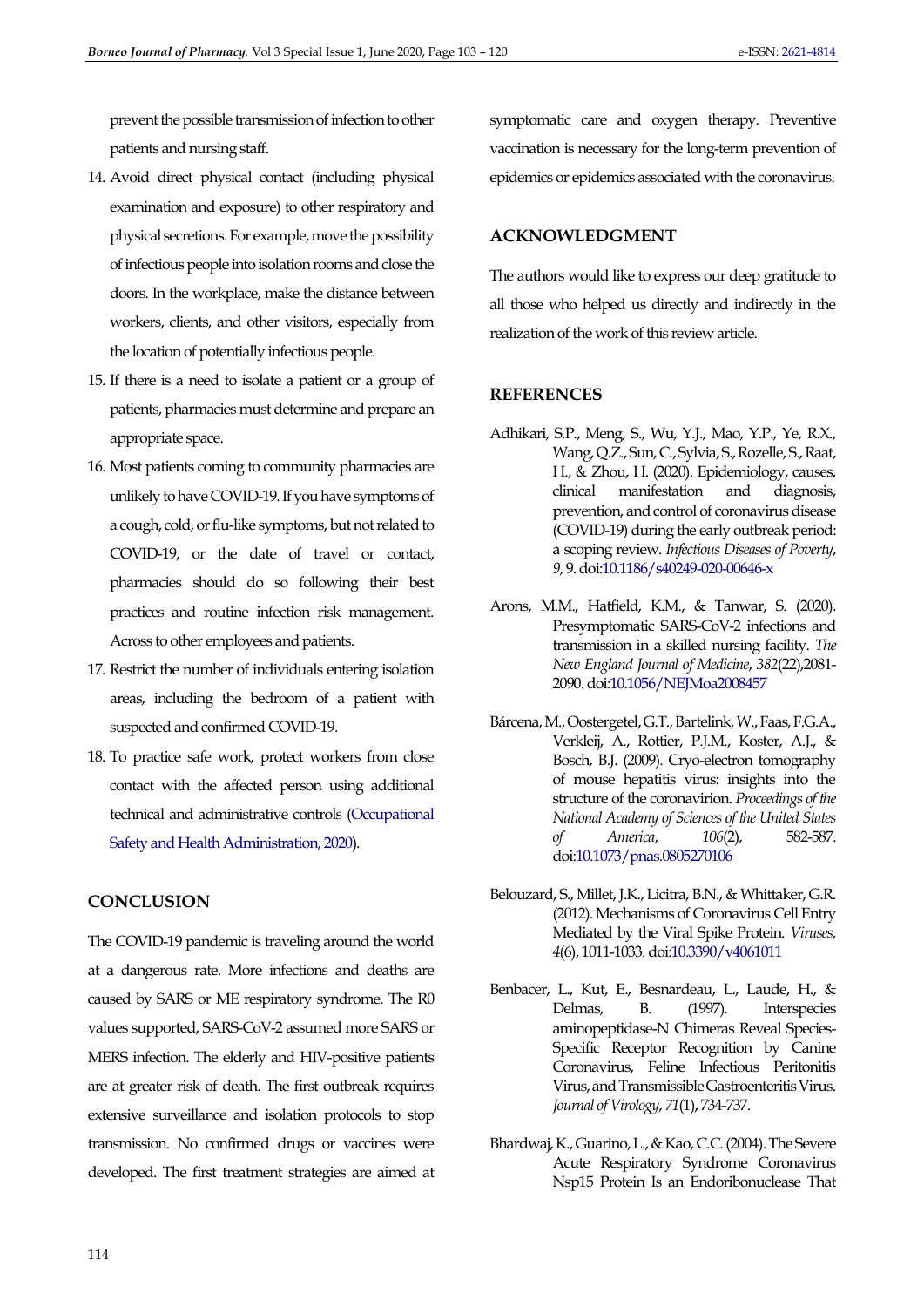prevent the possible transmission of infection to other patients and nursing staff.

- 14. Avoid direct physical contact (including physical examination and exposure) to other respiratory and physical secretions. For example, move the possibility of infectious people into isolation rooms and close the doors. In the workplace, make the distance between workers, clients, and other visitors, especially from the location of potentially infectious people.
- 15. If there is a need to isolate a patient or a group of patients, pharmacies must determine and prepare an appropriate space.
- 16. Most patients coming to community pharmacies are unlikely to have COVID-19. If you have symptoms of a cough, cold, or flu-like symptoms, but not related to COVID-19, or the date of travel or contact, pharmacies should do so following their best practices and routine infection risk management. Across to other employees and patients.
- 17. Restrict the number of individuals entering isolation areas, including the bedroom of a patient with suspected and confirmed COVID-19.
- 18. To practice safe work, protect workers from close contact with the affected person using additional technical and administrative controls [\(Occupational](#page-15-13)  [Safety and Health Administration, 2020\)](#page-15-13).

# **CONCLUSION**

The COVID-19 pandemic is traveling around the world at a dangerous rate. More infections and deaths are caused by SARS or ME respiratory syndrome. The R0 values supported, SARS-CoV-2 assumed more SARS or MERS infection. The elderly and HIV-positive patients are at greater risk of death. The first outbreak requires extensive surveillance and isolation protocols to stop transmission. No confirmed drugs or vaccines were developed. The first treatment strategies are aimed at symptomatic care and oxygen therapy. Preventive vaccination is necessary for the long-term prevention of epidemics or epidemics associated with the coronavirus.

# **ACKNOWLEDGMENT**

The authors would like to express our deep gratitude to all those who helped us directly and indirectly in the realization of the work of this review article.

## **REFERENCES**

- <span id="page-11-0"></span>Adhikari, S.P., Meng, S., Wu, Y.J., Mao, Y.P., Ye, R.X., Wang, Q.Z., Sun, C., Sylvia, S., Rozelle, S., Raat, H., & Zhou, H. (2020). Epidemiology, causes, clinical manifestation and diagnosis, prevention, and control of coronavirus disease (COVID-19) during the early outbreak period: a scoping review. *Infectious Diseases of Poverty*, *9*, 9. do[i:10.1186/s40249-020-00646-x](https://doi.org/10.1186/s40249-020-00646-x)
- <span id="page-11-5"></span>Arons, M.M., Hatfield, K.M., & Tanwar, S. (2020). Presymptomatic SARS-CoV-2 infections and transmission in a skilled nursing facility. *The New England Journal of Medicine*, *382*(22),2081- 2090. do[i:10.1056/NEJMoa2008457](http://doi.org/10.1056/NEJMoa2008457)
- <span id="page-11-1"></span>Bárcena, M., Oostergetel, G.T., Bartelink, W., Faas, F.G.A., Verkleij, A., Rottier, P.J.M., Koster, A.J., & Bosch, B.J. (2009). Cryo-electron tomography of mouse hepatitis virus: insights into the structure of the coronavirion. *Proceedings of the National Academy of Sciences of the United States of America*, *106*(2), 582-587. do[i:10.1073/pnas.0805270106](https://dx.doi.org/10.1073/pnas.0805270106)
- <span id="page-11-3"></span>Belouzard, S., Millet, J.K., Licitra, B.N., & Whittaker, G.R. (2012). Mechanisms of Coronavirus Cell Entry Mediated by the Viral Spike Protein. *Viruses*, *4*(6), 1011-1033. do[i:10.3390/v4061011](https://doi.org/10.3390/v4061011)
- <span id="page-11-4"></span>Benbacer, L., Kut, E., Besnardeau, L., Laude, H., & Delmas, B. (1997). Interspecies aminopeptidase-N Chimeras Reveal Species-Specific Receptor Recognition by Canine Coronavirus, Feline Infectious Peritonitis Virus, and Transmissible Gastroenteritis Virus. *Journal of Virology*, *71*(1), 734-737.
- <span id="page-11-2"></span>Bhardwaj, K., Guarino, L., & Kao, C.C. (2004). The Severe Acute Respiratory Syndrome Coronavirus Nsp15 Protein Is an Endoribonuclease That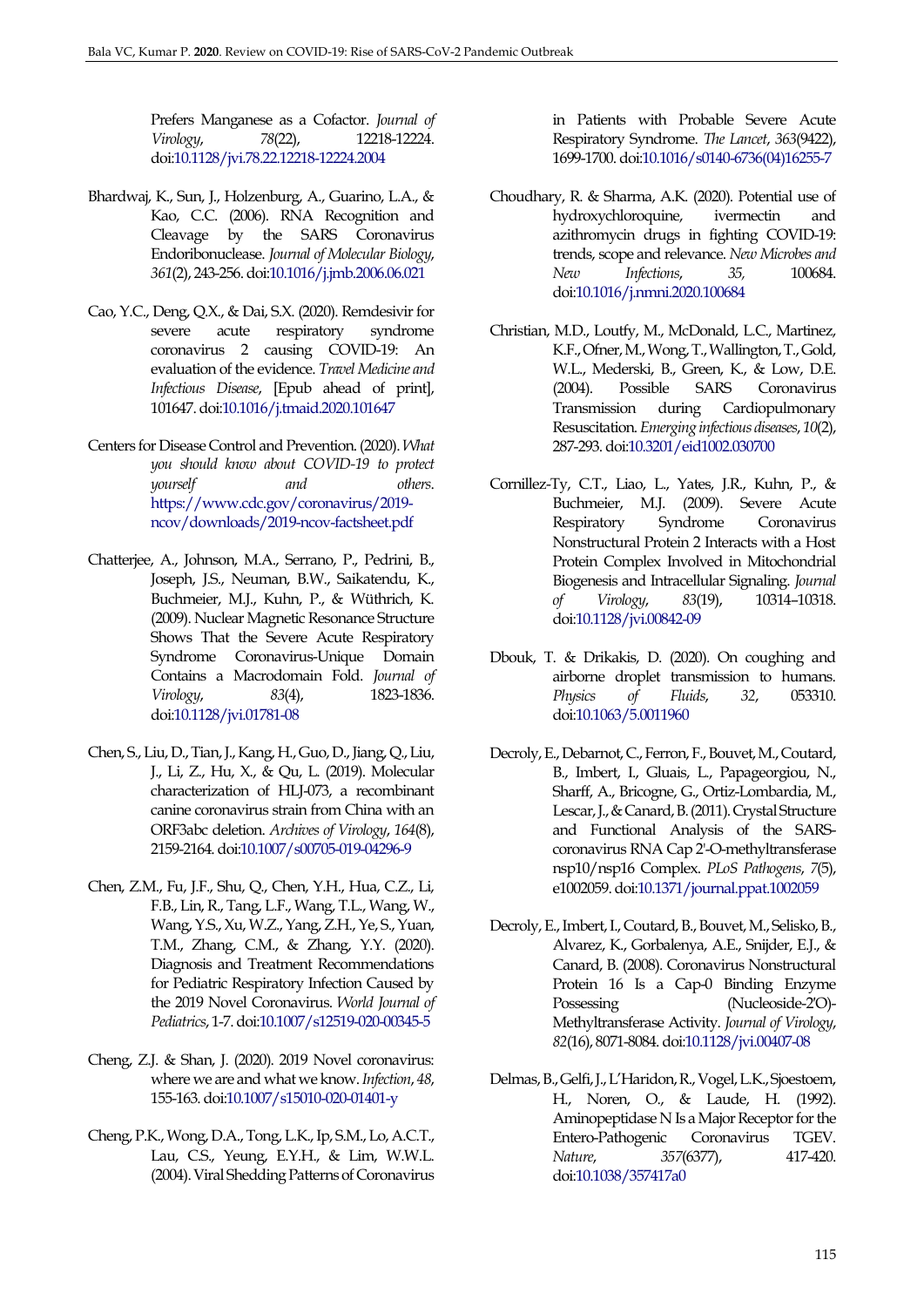Prefers Manganese as a Cofactor. *Journal of Virology*, *78*(22), 12218-12224. do[i:10.1128/jvi.78.22.12218-12224.2004](https://doi.org/10.1128/jvi.78.22.12218-12224.2004)

- <span id="page-12-3"></span>Bhardwaj, K., Sun, J., Holzenburg, A., Guarino, L.A., & Kao, C.C. (2006). RNA Recognition and Cleavage by the SARS Coronavirus Endoribonuclease. *Journal of Molecular Biology*, *361*(2), 243-256. do[i:10.1016/j.jmb.2006.06.021](https://doi.org/10.1016/j.jmb.2006.06.021)
- <span id="page-12-12"></span>Cao, Y.C., Deng, Q.X., & Dai, S.X. (2020). Remdesivir for severe acute respiratory syndrome coronavirus 2 causing COVID-19: An evaluation of the evidence. *Travel Medicine and Infectious Disease*, [Epub ahead of print], 101647. do[i:10.1016/j.tmaid.2020.101647](https://dx.doi.org/10.1016/j.tmaid.2020.101647)
- <span id="page-12-14"></span>Centers for Disease Control and Prevention. (2020).*What you should know about COVID-19 to protect yourself and others*. [https://www.cdc.gov/coronavirus/2019](https://www.cdc.gov/coronavirus/2019-ncov/downloads/2019-ncov-factsheet.pdf) [ncov/downloads/2019-ncov-factsheet.pdf](https://www.cdc.gov/coronavirus/2019-ncov/downloads/2019-ncov-factsheet.pdf)
- <span id="page-12-1"></span>Chatterjee, A., Johnson, M.A., Serrano, P., Pedrini, B., Joseph, J.S., Neuman, B.W., Saikatendu, K., Buchmeier, M.J., Kuhn, P., & Wüthrich, K. (2009). Nuclear Magnetic Resonance Structure Shows That the Severe Acute Respiratory Syndrome Coronavirus-Unique Domain Contains a Macrodomain Fold. *Journal of Virology*, *83*(4), 1823-1836. do[i:10.1128/jvi.01781-08](https://doi.org/10.1128/jvi.01781-08)
- <span id="page-12-2"></span>Chen, S., Liu, D., Tian, J., Kang, H., Guo, D., Jiang, Q., Liu, J., Li, Z., Hu, X., & Qu, L. (2019). Molecular characterization of HLJ-073, a recombinant canine coronavirus strain from China with an ORF3abc deletion. *Archives of Virology*, *164*(8), 2159-2164. do[i:10.1007/s00705-019-04296-9](https://dx.doi.org/10.1007/s00705-019-04296-9)
- <span id="page-12-11"></span>Chen, Z.M., Fu, J.F., Shu, Q., Chen, Y.H., Hua, C.Z., Li, F.B., Lin, R., Tang, L.F., Wang, T.L., Wang, W., Wang, Y.S., Xu, W.Z., Yang, Z.H., Ye, S., Yuan, T.M., Zhang, C.M., & Zhang, Y.Y. (2020). Diagnosis and Treatment Recommendations for Pediatric Respiratory Infection Caused by the 2019 Novel Coronavirus. *World Journal of Pediatrics*, 1-7. do[i:10.1007/s12519-020-00345-5](https://doi.org/10.1007/s12519-020-00345-5)
- <span id="page-12-5"></span>Cheng, Z.J. & Shan, J. (2020). 2019 Novel coronavirus: where we are and what we know. *Infection*, *48*, 155-163. do[i:10.1007/s15010-020-01401-y](https://doi.org/10.1007/s15010-020-01401-y)
- <span id="page-12-9"></span>Cheng, P.K., Wong, D.A., Tong, L.K., Ip, S.M., Lo, A.C.T., Lau, C.S., Yeung, E.Y.H., & Lim, W.W.L. (2004). Viral Shedding Patterns of Coronavirus

in Patients with Probable Severe Acute Respiratory Syndrome. *The Lancet*, *363*(9422), 1699-1700. do[i:10.1016/s0140-6736\(04\)16255-7](https://doi.org/10.1016/s0140-6736(04)16255-7)

- <span id="page-12-13"></span>Choudhary, R. & Sharma, A.K. (2020). Potential use of hydroxychloroquine, ivermectin and azithromycin drugs in fighting COVID-19: trends, scope and relevance. *New Microbes and New Infections*, *35,* 100684. do[i:10.1016/j.nmni.2020.100684](https://dx.doi.org/10.1016/j.nmni.2020.100684)
- <span id="page-12-7"></span>Christian, M.D., Loutfy, M., McDonald, L.C., Martinez, K.F., Ofner, M., Wong, T., Wallington, T., Gold, W.L., Mederski, B., Green, K., & Low, D.E.<br>(2004). Possible SARS Coronavirus Coronavirus Transmission during Cardiopulmonary Resuscitation. *Emerging infectious diseases*, *10*(2), 287-293. do[i:10.3201/eid1002.030700](https://dx.doi.org/10.3201/eid1002.030700)
- <span id="page-12-0"></span>Cornillez-Ty, C.T., Liao, L., Yates, J.R., Kuhn, P., & Buchmeier, M.J. (2009). Severe Acute Respiratory Syndrome Coronavirus Nonstructural Protein 2 Interacts with a Host Protein Complex Involved in Mitochondrial Biogenesis and Intracellular Signaling. *Journal of Virology*, *83*(19), 10314–10318. do[i:10.1128/jvi.00842-09](https://doi.org/10.1128/jvi.00842-09)
- <span id="page-12-8"></span>Dbouk, T. & Drikakis, D. (2020). On coughing and airborne droplet transmission to humans. *Physics of Fluids*, *32*, 053310. do[i:10.1063/5.0011960](https://doi.org/10.1063/5.0011960)
- <span id="page-12-6"></span>Decroly, E., Debarnot, C., Ferron, F., Bouvet, M., Coutard, B., Imbert, I., Gluais, L., Papageorgiou, N., Sharff, A., Bricogne, G., Ortiz-Lombardia, M., Lescar, J., & Canard, B. (2011). Crystal Structure and Functional Analysis of the SARScoronavirus RNA Cap 2'-O-methyltransferase nsp10/nsp16 Complex. *PLoS Pathogens*, *7*(5), e1002059. do[i:10.1371/journal.ppat.1002059](https://doi.org/10.1371/journal.ppat.1002059)
- <span id="page-12-4"></span>Decroly, E., Imbert, I., Coutard, B., Bouvet, M., Selisko, B., Alvarez, K., Gorbalenya, A.E., Snijder, E.J., & Canard, B. (2008). Coronavirus Nonstructural Protein 16 Is a Cap-0 Binding Enzyme Possessing (Nucleoside-2'O)-Methyltransferase Activity. *Journal of Virology*, *82*(16), 8071-8084. do[i:10.1128/jvi.00407-08](https://doi.org/10.1128/jvi.00407-08)
- <span id="page-12-10"></span>Delmas, B., Gelfi, J., L'Haridon, R., Vogel, L.K., Sjoestoem, H., Noren, O., & Laude, H. (1992). Aminopeptidase N Is a Major Receptor for the Entero-Pathogenic Coronavirus TGEV. *Nature*, *357*(6377), 417-420. do[i:10.1038/357417a0](https://doi.org/10.1038/357417a0)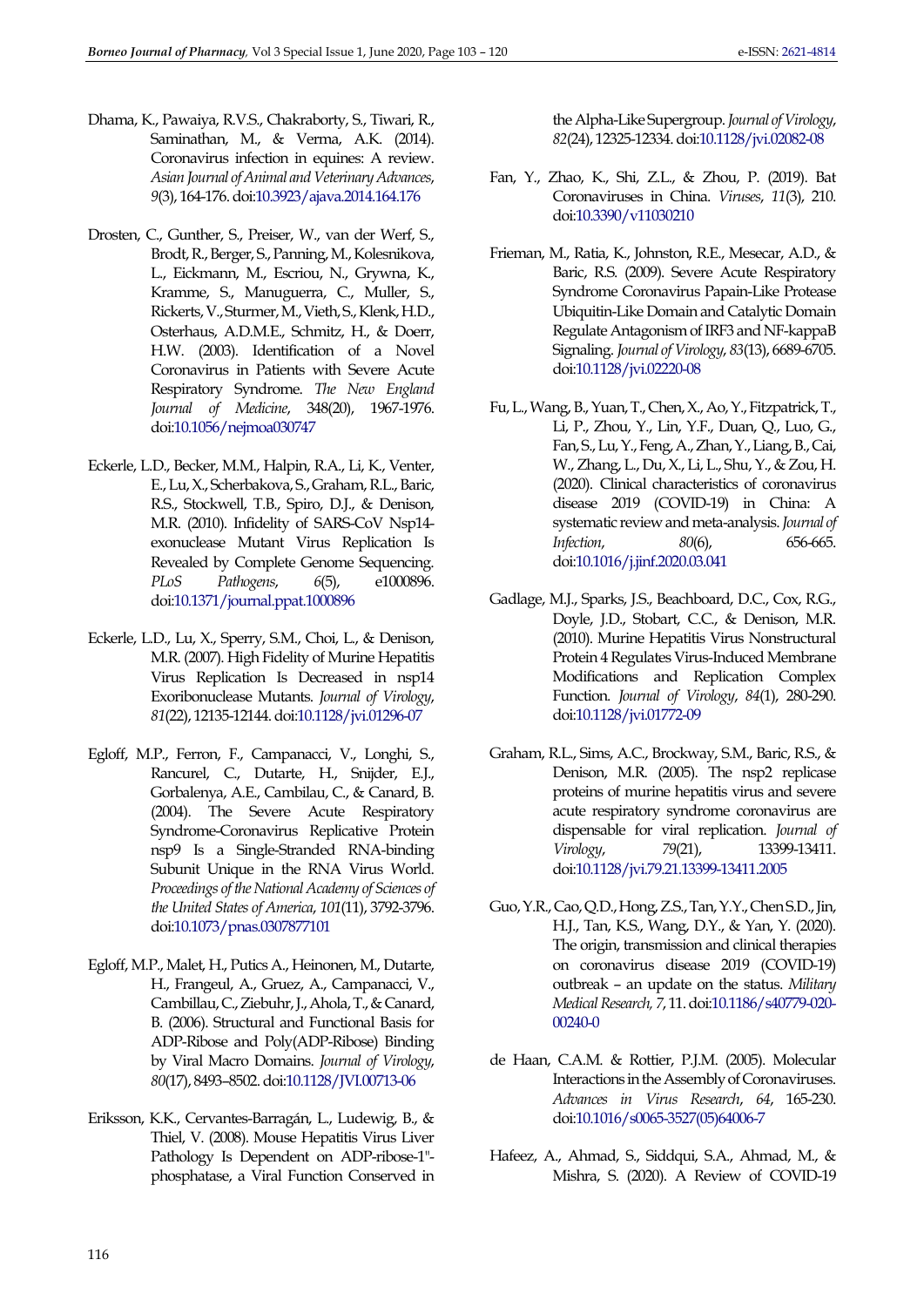- <span id="page-13-1"></span>Dhama, K., Pawaiya, R.V.S., Chakraborty, S., Tiwari, R., Saminathan, M., & Verma, A.K. (2014). Coronavirus infection in equines: A review. *Asian Journal of Animal and Veterinary Advances*, *9*(3), 164-176. do[i:10.3923/ajava.2014.164.176](http://dx.doi.org/10.3923/ajava.2014.164.176)
- <span id="page-13-2"></span>Drosten, C., Gunther, S., Preiser, W., van der Werf, S., Brodt, R., Berger, S., Panning, M., Kolesnikova, L., Eickmann, M., Escriou, N., Grywna, K., Kramme, S., Manuguerra, C., Muller, S., Rickerts, V., Sturmer, M., Vieth, S., Klenk, H.D., Osterhaus, A.D.M.E., Schmitz, H., & Doerr, H.W. (2003). Identification of a Novel Coronavirus in Patients with Severe Acute Respiratory Syndrome. *The New England Journal of Medicine*, 348(20), 1967-1976. do[i:10.1056/nejmoa030747](https://doi.org/10.1056/nejmoa030747)
- <span id="page-13-11"></span>Eckerle, L.D., Becker, M.M., Halpin, R.A., Li, K., Venter, E., Lu, X., Scherbakova, S., Graham, R.L., Baric, R.S., Stockwell, T.B., Spiro, D.J., & Denison, M.R. (2010). Infidelity of SARS-CoV Nsp14 exonuclease Mutant Virus Replication Is Revealed by Complete Genome Sequencing. *PLoS Pathogens*, *6*(5), e1000896. do[i:10.1371/journal.ppat.1000896](https://doi.org/10.1371/journal.ppat.1000896)
- <span id="page-13-12"></span>Eckerle, L.D., Lu, X., Sperry, S.M., Choi, L., & Denison, M.R. (2007). High Fidelity of Murine Hepatitis Virus Replication Is Decreased in nsp14 Exoribonuclease Mutants. *Journal of Virology*, *81*(22), 12135-12144. do[i:10.1128/jvi.01296-07](https://doi.org/10.1128/jvi.01296-07)
- <span id="page-13-10"></span>Egloff, M.P., Ferron, F., Campanacci, V., Longhi, S., Rancurel, C., Dutarte, H., Snijder, E.J., Gorbalenya, A.E., Cambilau, C., & Canard, B. (2004). The Severe Acute Respiratory Syndrome-Coronavirus Replicative Protein nsp9 Is a Single-Stranded RNA-binding Subunit Unique in the RNA Virus World. *Proceedings of the National Academy of Sciences of the United States of America*, *101*(11), 3792-3796. do[i:10.1073/pnas.0307877101](https://doi.org/10.1073/pnas.0307877101)
- <span id="page-13-6"></span>Egloff, M.P., Malet, H., Putics A., Heinonen, M., Dutarte, H., Frangeul, A., Gruez, A., Campanacci, V., Cambillau, C., Ziebuhr, J., Ahola, T., & Canard, B. (2006). Structural and Functional Basis for ADP-Ribose and Poly(ADP-Ribose) Binding by Viral Macro Domains. *Journal of Virology*, *80*(17), 8493–8502. do[i:10.1128/JVI.00713-06](https://dx.doi.org/10.1128/JVI.00713-06)
- <span id="page-13-7"></span>Eriksson, K.K., Cervantes-Barragán, L., Ludewig, B., & Thiel, V. (2008). Mouse Hepatitis Virus Liver Pathology Is Dependent on ADP-ribose-1'' phosphatase, a Viral Function Conserved in

the Alpha-Like Supergroup. *Journal of Virology*, *82*(24), 12325-12334. do[i:10.1128/jvi.02082-08](https://doi.org/10.1128/jvi.02082-08)

- <span id="page-13-3"></span>Fan, Y., Zhao, K., Shi, Z.L., & Zhou, P. (2019). Bat Coronaviruses in China. *Viruses*, *11*(3), 210. do[i:10.3390/v11030210](https://dx.doi.org/10.3390/v11030210)
- <span id="page-13-8"></span>Frieman, M., Ratia, K., Johnston, R.E., Mesecar, A.D., & Baric, R.S. (2009). Severe Acute Respiratory Syndrome Coronavirus Papain-Like Protease Ubiquitin-Like Domain and Catalytic Domain Regulate Antagonism of IRF3 and NF-kappaB Signaling. *Journal of Virology*, *83*(13), 6689-6705. do[i:10.1128/jvi.02220-08](https://doi.org/10.1128/jvi.02220-08)
- <span id="page-13-14"></span>Fu, L., Wang, B., Yuan, T., Chen, X., Ao, Y., Fitzpatrick, T., Li, P., Zhou, Y., Lin, Y.F., Duan, Q., Luo, G., Fan, S., Lu, Y., Feng, A., Zhan, Y., Liang, B., Cai, W., Zhang, L., Du, X., Li, L., Shu, Y., & Zou, H. (2020). Clinical characteristics of coronavirus disease 2019 (COVID-19) in China: A systematic review and meta-analysis. *Journal of Infection*, *80(6)*, do[i:10.1016/j.jinf.2020.03.041](https://dx.doi.org/10.1016/j.jinf.2020.03.041)
- <span id="page-13-9"></span>Gadlage, M.J., Sparks, J.S., Beachboard, D.C., Cox, R.G., Doyle, J.D., Stobart, C.C., & Denison, M.R. (2010). Murine Hepatitis Virus Nonstructural Protein 4 Regulates Virus-Induced Membrane Modifications and Replication Complex Function. *Journal of Virology*, *84*(1), 280-290. do[i:10.1128/jvi.01772-09](https://doi.org/10.1128/jvi.01772-09)
- <span id="page-13-5"></span>Graham, R.L., Sims, A.C., Brockway, S.M., Baric, R.S., & Denison, M.R. (2005). The nsp2 replicase proteins of murine hepatitis virus and severe acute respiratory syndrome coronavirus are dispensable for viral replication. *Journal of Virology*, *79*(21), 13399-13411. do[i:10.1128/jvi.79.21.13399-13411.2005](https://doi.org/10.1128/jvi.79.21.13399-13411.2005)
- <span id="page-13-4"></span>Guo, Y.R., Cao, Q.D., Hong, Z.S., Tan, Y.Y., Chen S.D., Jin, H.J., Tan, K.S., Wang, D.Y., & Yan, Y. (2020). The origin, transmission and clinical therapies on coronavirus disease 2019 (COVID-19) outbreak – an update on the status. *Military Medical Research, 7*, 11. do[i:10.1186/s40779-020-](https://doi.org/10.1186/s40779-020-00240-0) [00240-0](https://doi.org/10.1186/s40779-020-00240-0)
- <span id="page-13-13"></span>de Haan, C.A.M. & Rottier, P.J.M. (2005). Molecular Interactions in the Assembly of Coronaviruses. *Advances in Virus Research*, *64*, 165-230. do[i:10.1016/s0065-3527\(05\)64006-7](https://doi.org/10.1016/s0065-3527(05)64006-7)
- <span id="page-13-0"></span>Hafeez, A., Ahmad, S., Siddqui, S.A., Ahmad, M., & Mishra, S. (2020). A Review of COVID-19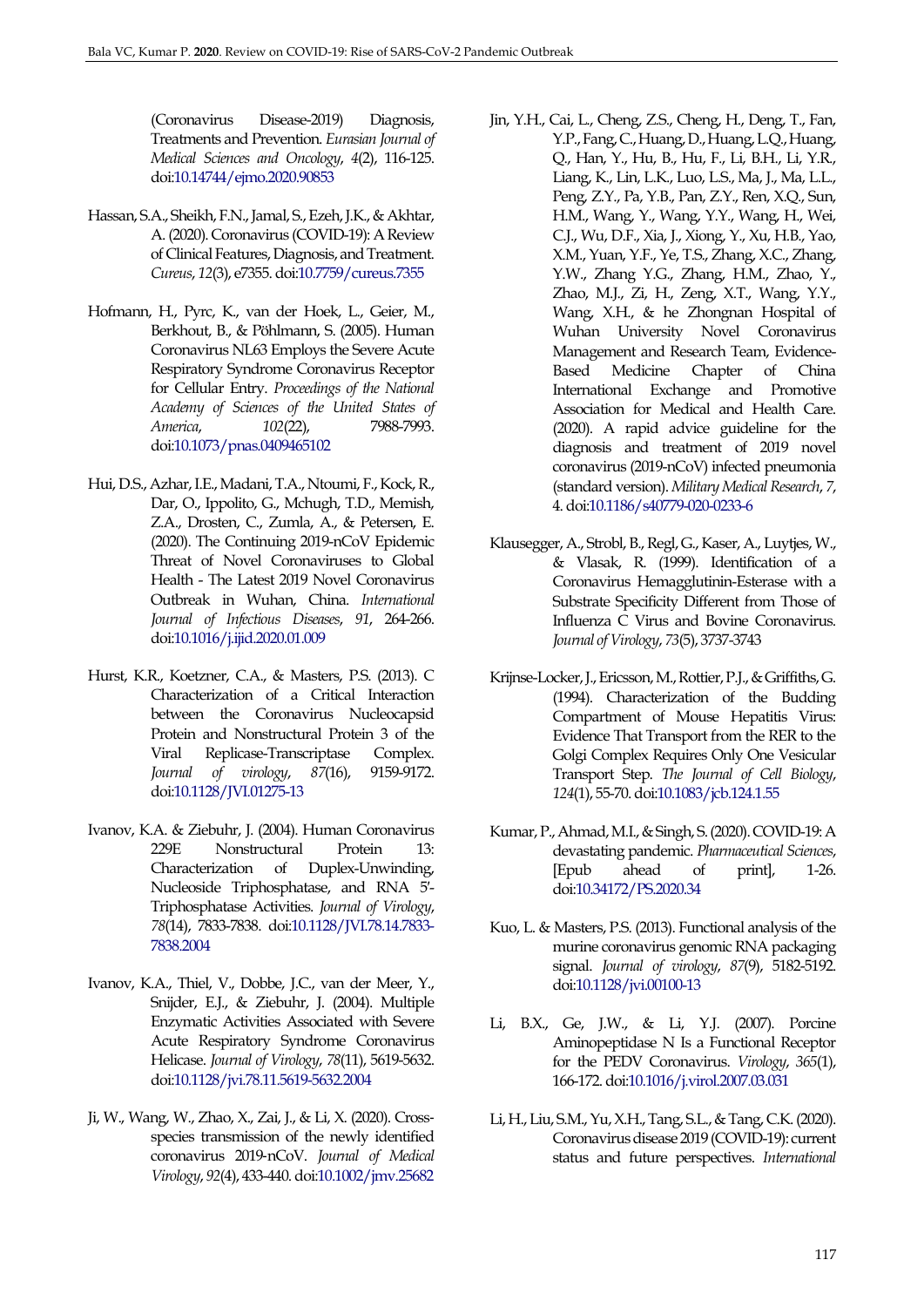(Coronavirus Disease-2019) Diagnosis, Treatments and Prevention. *Eurasian Journal of Medical Sciences and Oncology*, *4*(2), 116-125. do[i:10.14744/ejmo.2020.90853](http://doi.org/10.14744/ejmo.2020.90853)

- <span id="page-14-0"></span>Hassan, S.A., Sheikh, F.N., Jamal, S., Ezeh, J.K., & Akhtar, A. (2020). Coronavirus (COVID-19): A Review of Clinical Features, Diagnosis, and Treatment. *Cureus*, *12*(3), e7355. do[i:10.7759/cureus.7355](https://dx.doi.org/10.7759/cureus.7355)
- <span id="page-14-11"></span>Hofmann, H., Pyrc, K., van der Hoek, L., Geier, M., Berkhout, B., & Pöhlmann, S. (2005). Human Coronavirus NL63 Employs the Severe Acute Respiratory Syndrome Coronavirus Receptor for Cellular Entry. *Proceedings of the National Academy of Sciences of the United States of America*, *102*(22), 7988-7993. do[i:10.1073/pnas.0409465102](https://doi.org/10.1073/pnas.0409465102)
- <span id="page-14-1"></span>Hui, D.S., Azhar, I.E., Madani, T.A., Ntoumi, F., Kock, R., Dar, O., Ippolito, G., Mchugh, T.D., Memish, Z.A., Drosten, C., Zumla, A., & Petersen, E. (2020). The Continuing 2019-nCoV Epidemic Threat of Novel Coronaviruses to Global Health - The Latest 2019 Novel Coronavirus Outbreak in Wuhan, China. *International Journal of Infectious Diseases*, *91*, 264-266. do[i:10.1016/j.ijid.2020.01.009](https://doi.org/10.1016/j.ijid.2020.01.009)
- <span id="page-14-6"></span>Hurst, K.R., Koetzner, C.A., & Masters, P.S. (2013). C Characterization of a Critical Interaction between the Coronavirus Nucleocapsid Protein and Nonstructural Protein 3 of the Viral Replicase-Transcriptase Complex. *Journal of virology*, *87*(16), 9159-9172. do[i:10.1128/JVI.01275-13](https://dx.doi.org/10.1128/JVI.01275-13)
- <span id="page-14-8"></span>Ivanov, K.A. & Ziebuhr, J. (2004). Human Coronavirus 229E Nonstructural Protein 13: Characterization of Duplex-Unwinding, Nucleoside Triphosphatase, and RNA 5′- Triphosphatase Activities. *Journal of Virology*, *78*(14), 7833-7838. do[i:10.1128/JVI.78.14.7833-](https://dx.doi.org/10.1128/JVI.78.14.7833-7838.2004) [7838.2004](https://dx.doi.org/10.1128/JVI.78.14.7833-7838.2004)
- <span id="page-14-9"></span>Ivanov, K.A., Thiel, V., Dobbe, J.C., van der Meer, Y., Snijder, E.J., & Ziebuhr, J. (2004). Multiple Enzymatic Activities Associated with Severe Acute Respiratory Syndrome Coronavirus Helicase. *Journal of Virology*, *78*(11), 5619-5632. do[i:10.1128/jvi.78.11.5619-5632.2004](https://doi.org/10.1128/jvi.78.11.5619-5632.2004)
- <span id="page-14-3"></span>Ji, W., Wang, W., Zhao, X., Zai, J., & Li, X. (2020). Cross‐ species transmission of the newly identified coronavirus 2019‐nCoV. *Journal of Medical Virology*, *92*(4), 433-440. do[i:10.1002/jmv.25682](https://doi.org/10.1002/jmv.25682)
- <span id="page-14-13"></span>Jin, Y.H., Cai, L., Cheng, Z.S., Cheng, H., Deng, T., Fan, Y.P., Fang, C., Huang, D., Huang, L.Q., Huang, Q., Han, Y., Hu, B., Hu, F., Li, B.H., Li, Y.R., Liang, K., Lin, L.K., Luo, L.S., Ma, J., Ma, L.L., Peng, Z.Y., Pa, Y.B., Pan, Z.Y., Ren, X.Q., Sun, H.M., Wang, Y., Wang, Y.Y., Wang, H., Wei, C.J., Wu, D.F., Xia, J., Xiong, Y., Xu, H.B., Yao, X.M., Yuan, Y.F., Ye, T.S., Zhang, X.C., Zhang, Y.W., Zhang Y.G., Zhang, H.M., Zhao, Y., Zhao, M.J., Zi, H., Zeng, X.T., Wang, Y.Y., Wang, X.H., & he Zhongnan Hospital of Wuhan University Novel Coronavirus Management and Research Team, Evidence-Based Medicine Chapter of China International Exchange and Promotive Association for Medical and Health Care. (2020). A rapid advice guideline for the diagnosis and treatment of 2019 novel coronavirus (2019-nCoV) infected pneumonia (standard version). *Military Medical Research*, *7*, 4. do[i:10.1186/s40779-020-0233-6](https://dx.doi.org/10.1186/s40779-020-0233-6)
- <span id="page-14-7"></span>Klausegger, A., Strobl, B., Regl, G., Kaser, A., Luytjes, W., & Vlasak, R. (1999). Identification of a Coronavirus Hemagglutinin-Esterase with a Substrate Specificity Different from Those of Influenza C Virus and Bovine Coronavirus. *Journal of Virology*, *73*(5), 3737-3743
- <span id="page-14-12"></span>Krijnse-Locker, J., Ericsson, M., Rottier, P.J., & Griffiths, G. (1994). Characterization of the Budding Compartment of Mouse Hepatitis Virus: Evidence That Transport from the RER to the Golgi Complex Requires Only One Vesicular Transport Step. *The Journal of Cell Biology*, *124*(1), 55-70. do[i:10.1083/jcb.124.1.55](https://doi.org/10.1083/jcb.124.1.55)
- <span id="page-14-4"></span>Kumar, P., Ahmad, M.I., & Singh, S. (2020). COVID-19: A devastating pandemic. *Pharmaceutical Sciences*, [Epub ahead of print], 1-26. do[i:10.34172/PS.2020.34](http://doi.org/10.34172/PS.2020.34)
- <span id="page-14-5"></span>Kuo, L. & Masters, P.S. (2013). Functional analysis of the murine coronavirus genomic RNA packaging signal. *Journal of virology*, *87*(9), 5182-5192. do[i:10.1128/jvi.00100-13](https://doi.org/10.1128/jvi.00100-13)
- <span id="page-14-10"></span>Li, B.X., Ge, J.W., & Li, Y.J. (2007). Porcine Aminopeptidase N Is a Functional Receptor for the PEDV Coronavirus. *Virology*, *365*(1), 166-172. do[i:10.1016/j.virol.2007.03.031](https://doi.org/10.1016/j.virol.2007.03.031)
- <span id="page-14-2"></span>Li, H., Liu, S.M., Yu, X.H., Tang, S.L., & Tang, C.K. (2020). Coronavirus disease 2019 (COVID-19): current status and future perspectives. *International*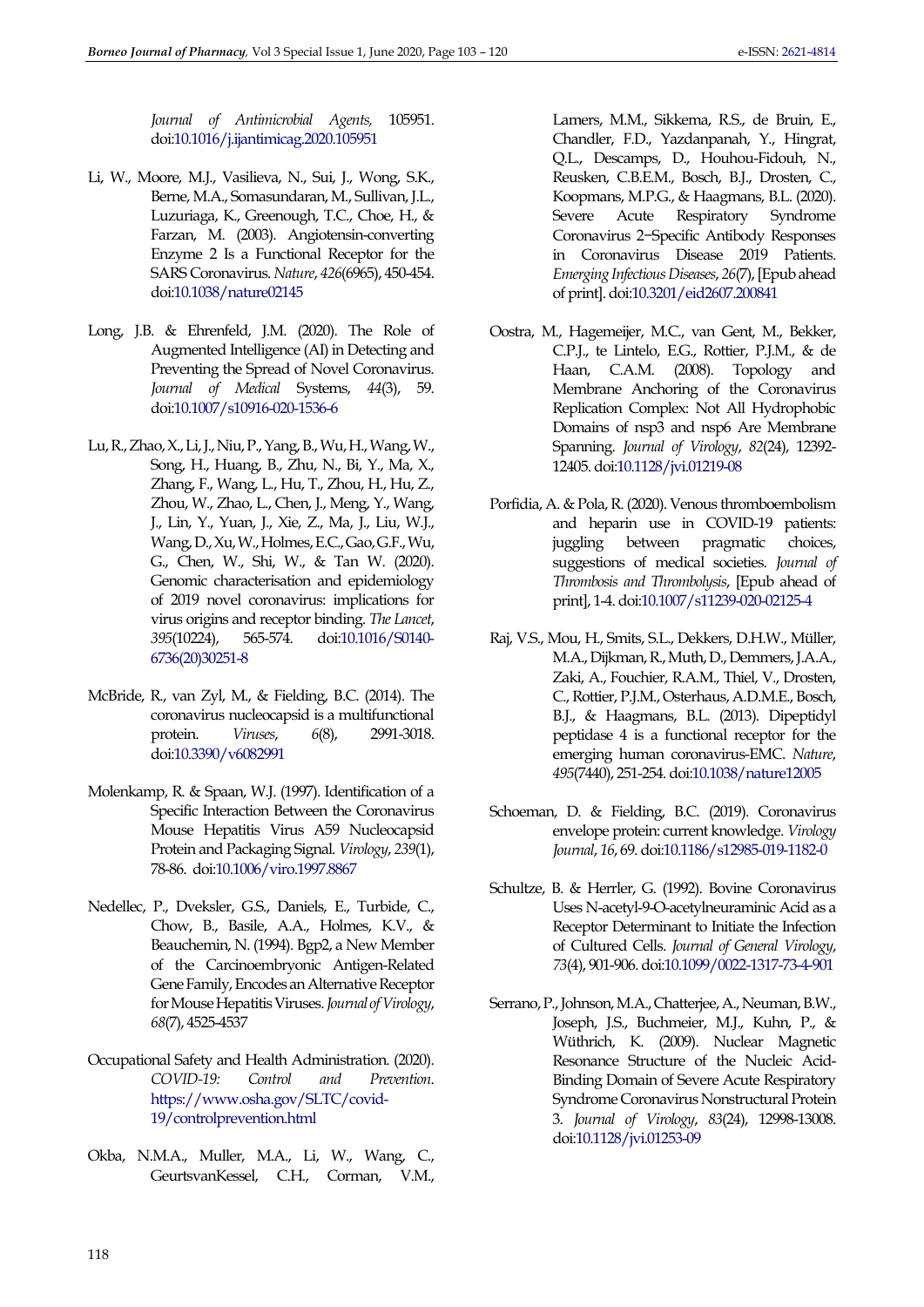*Journal of Antimicrobial Agents,* 105951. do[i:10.1016/j.ijantimicag.2020.105951](https://dx.doi.org/10.1016/j.ijantimicag.2020.105951)

- <span id="page-15-9"></span>Li, W., Moore, M.J., Vasilieva, N., Sui, J., Wong, S.K., Berne, M.A., Somasundaran, M., Sullivan, J.L., Luzuriaga, K., Greenough, T.C., Choe, H., & Farzan, M. (2003). Angiotensin-converting Enzyme 2 Is a Functional Receptor for the SARS Coronavirus. *Nature*, *426*(6965), 450-454. do[i:10.1038/nature02145](https://doi.org/10.1038/nature02145)
- <span id="page-15-1"></span>Long, J.B. & Ehrenfeld, J.M. (2020). The Role of Augmented Intelligence (AI) in Detecting and Preventing the Spread of Novel Coronavirus. *Journal of Medical* Systems, *44*(3), 59. do[i:10.1007/s10916-020-1536-6](https://doi.org/10.1007/s10916-020-1536-6)
- <span id="page-15-0"></span>Lu, R., Zhao, X., Li, J., Niu, P., Yang, B., Wu, H., Wang, W., Song, H., Huang, B., Zhu, N., Bi, Y., Ma, X., Zhang, F., Wang, L., Hu, T., Zhou, H., Hu, Z., Zhou, W., Zhao, L., Chen, J., Meng, Y., Wang, J., Lin, Y., Yuan, J., Xie, Z., Ma, J., Liu, W.J., Wang, D., Xu, W., Holmes, E.C., Gao, G.F., Wu, G., Chen, W., Shi, W., & Tan W. (2020). Genomic characterisation and epidemiology of 2019 novel coronavirus: implications for virus origins and receptor binding. *The Lancet*, *395*(10224), 565-574. do[i:10.1016/S0140-](https://doi.org/10.1016/S0140-6736(20)30251-8) [6736\(20\)30251-8](https://doi.org/10.1016/S0140-6736(20)30251-8)
- <span id="page-15-4"></span>McBride, R., van Zyl, M., & Fielding, B.C. (2014). The coronavirus nucleocapsid is a multifunctional<br>protein. *Viruses,* 6(8), 2991-3018. protein. *Viruses*, *6*(8), 2991-3018. do[i:10.3390/v6082991](https://doi.org/10.3390/v6082991)
- <span id="page-15-3"></span>Molenkamp, R. & Spaan, W.J. (1997). Identification of a Specific Interaction Between the Coronavirus Mouse Hepatitis Virus A59 Nucleocapsid Protein and Packaging Signal. *Virology*, *239*(1), 78-86. do[i:10.1006/viro.1997.8867](https://doi.org/10.1006/viro.1997.8867)
- <span id="page-15-8"></span>Nedellec, P., Dveksler, G.S., Daniels, E., Turbide, C., Chow, B., Basile, A.A., Holmes, K.V., & Beauchemin, N. (1994). Bgp2, a New Member of the Carcinoembryonic Antigen-Related Gene Family, Encodes an Alternative Receptor for Mouse Hepatitis Viruses. *Journal of Virology*, *68*(7), 4525-4537
- <span id="page-15-13"></span>Occupational Safety and Health Administration. (2020). *COVID-19: Control and Prevention*. [https://www.osha.gov/SLTC/covid-](https://www.osha.gov/SLTC/covid-19/controlprevention.html)[19/controlprevention.html](https://www.osha.gov/SLTC/covid-19/controlprevention.html)
- <span id="page-15-11"></span>Okba, N.M.A., Muller, M.A., Li, W., Wang, C., GeurtsvanKessel, C.H., Corman, V.M.,

Lamers, M.M., Sikkema, R.S., de Bruin, E., Chandler, F.D., Yazdanpanah, Y., Hingrat, Q.L., Descamps, D., Houhou-Fidouh, N., Reusken, C.B.E.M., Bosch, B.J., Drosten, C., Koopmans, M.P.G., & Haagmans, B.L. (2020). Severe Acute Respiratory Syndrome Coronavirus 2−Specific Antibody Responses in Coronavirus Disease 2019 Patients. *Emerging Infectious Diseases*, *26*(7), [Epub ahead of print]. do[i:10.3201/eid2607.200841](https://doi.org/10.3201/eid2607.200841)

- <span id="page-15-6"></span>Oostra, M., Hagemeijer, M.C., van Gent, M., Bekker, C.P.J., te Lintelo, E.G., Rottier, P.J.M., & de Haan, C.A.M. (2008). Topology and Membrane Anchoring of the Coronavirus Replication Complex: Not All Hydrophobic Domains of nsp3 and nsp6 Are Membrane Spanning. *Journal of Virology*, *82*(24), 12392- 12405. do[i:10.1128/jvi.01219-08](https://doi.org/10.1128/jvi.01219-08)
- <span id="page-15-12"></span>Porfidia, A. & Pola, R. (2020). Venous thromboembolism and heparin use in COVID-19 patients: juggling between pragmatic choices, suggestions of medical societies. *Journal of Thrombosis and Thrombolysis*, [Epub ahead of print], 1-4. do[i:10.1007/s11239-020-02125-4](https://dx.doi.org/10.1007/s11239-020-02125-4)
- <span id="page-15-10"></span>Raj, V.S., Mou, H., Smits, S.L., Dekkers, D.H.W., Müller, M.A., Dijkman, R., Muth, D., Demmers, J.A.A., Zaki, A., Fouchier, R.A.M., Thiel, V., Drosten, C., Rottier, P.J.M., Osterhaus, A.D.M.E., Bosch, B.J., & Haagmans, B.L. (2013). Dipeptidyl peptidase 4 is a functional receptor for the emerging human coronavirus-EMC. *Nature*, *495*(7440), 251-254. do[i:10.1038/nature12005](https://doi.org/10.1038/nature12005)
- <span id="page-15-2"></span>Schoeman, D. & Fielding, B.C. (2019). Coronavirus envelope protein: current knowledge. *Virology Journal*, *16*, 69. do[i:10.1186/s12985-019-1182-0](https://doi.org/10.1186/s12985-019-1182-0)
- <span id="page-15-7"></span>Schultze, B. & Herrler, G. (1992). Bovine Coronavirus Uses N-acetyl-9-O-acetylneuraminic Acid as a Receptor Determinant to Initiate the Infection of Cultured Cells. *Journal of General Virology*, *73*(4), 901-906. do[i:10.1099/0022-1317-73-4-901](https://doi.org/10.1099/0022-1317-73-4-901)
- <span id="page-15-5"></span>Serrano, P., Johnson, M.A., Chatterjee, A., Neuman, B.W., Joseph, J.S., Buchmeier, M.J., Kuhn, P., & Wüthrich, K. (2009). Nuclear Magnetic Resonance Structure of the Nucleic Acid-Binding Domain of Severe Acute Respiratory Syndrome Coronavirus Nonstructural Protein 3. *Journal of Virology*, *83*(24), 12998-13008. do[i:10.1128/jvi.01253-09](https://doi.org/10.1128/jvi.01253-09)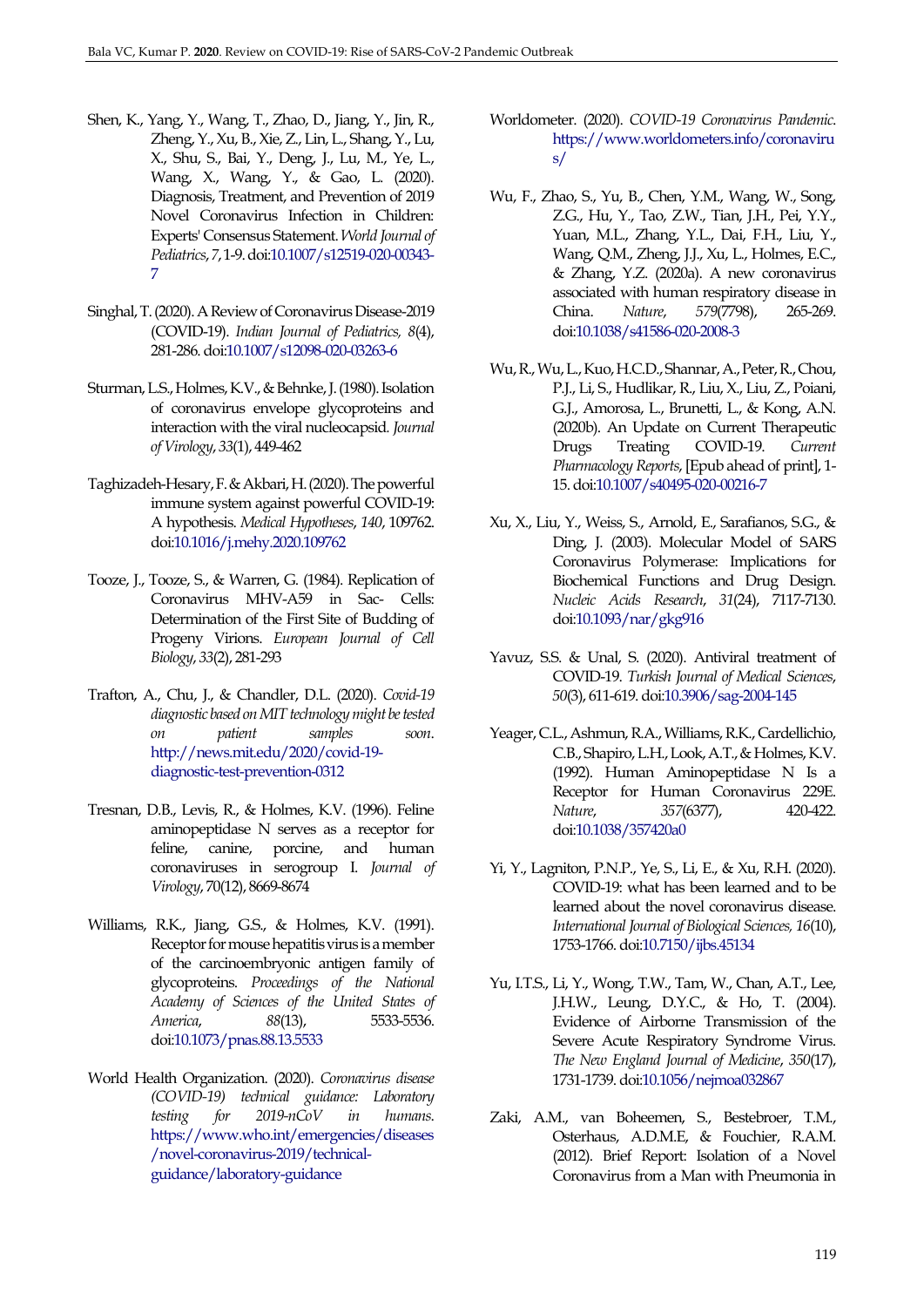- <span id="page-16-13"></span>Shen, K., Yang, Y., Wang, T., Zhao, D., Jiang, Y., Jin, R., Zheng, Y., Xu, B., Xie, Z., Lin, L., Shang, Y., Lu, X., Shu, S., Bai, Y., Deng, J., Lu, M., Ye, L., Wang, X., Wang, Y., & Gao, L. (2020). Diagnosis, Treatment, and Prevention of 2019 Novel Coronavirus Infection in Children: Experts' Consensus Statement. *World Journal of Pediatrics*, *7*, 1-9. do[i:10.1007/s12519-020-00343-](https://doi.org/10.1007/s12519-020-00343-7) [7](https://doi.org/10.1007/s12519-020-00343-7)
- <span id="page-16-17"></span>Singhal, T. (2020). A Review of Coronavirus Disease-2019 (COVID-19). *Indian Journal of Pediatrics, 8*(4), 281-286. do[i:10.1007/s12098-020-03263-6](https://dx.doi.org/10.1007/s12098-020-03263-6)
- <span id="page-16-3"></span>Sturman, L.S., Holmes, K.V., & Behnke, J. (1980). Isolation of coronavirus envelope glycoproteins and interaction with the viral nucleocapsid*. Journal of Virology*, *33*(1), 449-462
- <span id="page-16-16"></span>Taghizadeh-Hesary, F. & Akbari, H. (2020). The powerful immune system against powerful COVID-19: A hypothesis. *Medical Hypotheses*, *140*, 109762. do[i:10.1016/j.mehy.2020.109762](https://dx.doi.org/10.1016/j.mehy.2020.109762)
- <span id="page-16-9"></span>Tooze, J., Tooze, S., & Warren, G. (1984). Replication of Coronavirus MHV-A59 in Sac- Cells: Determination of the First Site of Budding of Progeny Virions. *European Journal of Cell Biology*, *33*(2), 281-293
- <span id="page-16-12"></span>Trafton, A., Chu, J., & Chandler, D.L. (2020). *Covid-19 diagnostic based on MIT technology might be tested on patient samples soon*. [http://news.mit.edu/2020/covid-19](http://news.mit.edu/2020/covid-19-diagnostic-test-prevention-0312) [diagnostic-test-prevention-0312](http://news.mit.edu/2020/covid-19-diagnostic-test-prevention-0312)
- <span id="page-16-6"></span>Tresnan, D.B., Levis, R., & Holmes, K.V. (1996). Feline aminopeptidase N serves as a receptor for feline, canine, porcine, and human coronaviruses in serogroup I. *Journal of Virology*, 70(12), 8669-8674
- <span id="page-16-8"></span>Williams, R.K., Jiang, G.S., & Holmes, K.V. (1991). Receptor for mouse hepatitis virus is a member of the carcinoembryonic antigen family of glycoproteins. *Proceedings of the National Academy of Sciences of the United States of America*, *88*(13), 5533-5536. do[i:10.1073/pnas.88.13.5533](https://dx.doi.org/10.1073/pnas.88.13.5533)
- <span id="page-16-11"></span>World Health Organization. (2020). *Coronavirus disease (COVID-19) technical guidance: Laboratory testing for 2019-nCoV in humans*. [https://www.who.int/emergencies/diseases](https://www.who.int/emergencies/diseases/novel-coronavirus-2019/technical-guidance/laboratory-guidance) [/novel-coronavirus-2019/technical](https://www.who.int/emergencies/diseases/novel-coronavirus-2019/technical-guidance/laboratory-guidance)[guidance/laboratory-guidance](https://www.who.int/emergencies/diseases/novel-coronavirus-2019/technical-guidance/laboratory-guidance)
- <span id="page-16-0"></span>Worldometer. (2020). *COVID-19 Coronavirus Pandemic*. [https://www.worldometers.info/coronaviru](https://www.worldometers.info/coronavirus/) [s/](https://www.worldometers.info/coronavirus/)
- <span id="page-16-2"></span>Wu, F., Zhao, S., Yu, B., Chen, Y.M., Wang, W., Song, Z.G., Hu, Y., Tao, Z.W., Tian, J.H., Pei, Y.Y., Yuan, M.L., Zhang, Y.L., Dai, F.H., Liu, Y., Wang, Q.M., Zheng, J.J., Xu, L., Holmes, E.C., & Zhang, Y.Z. (2020a). A new coronavirus associated with human respiratory disease in China. *Nature*, *579*(7798), 265-269. do[i:10.1038/s41586-020-2008-3](https://doi.org/10.1038/s41586-020-2008-3)
- <span id="page-16-14"></span>Wu, R., Wu, L., Kuo, H.C.D., Shannar, A., Peter, R., Chou, P.J., Li, S., Hudlikar, R., Liu, X., Liu, Z., Poiani, G.J., Amorosa, L., Brunetti, L., & Kong, A.N. (2020b). An Update on Current Therapeutic Drugs Treating COVID-19. *Current Pharmacology Reports*, [Epub ahead of print], 1- 15. do[i:10.1007/s40495-020-00216-7](https://dx.doi.org/10.1007/s40495-020-00216-7)
- <span id="page-16-4"></span>Xu, X., Liu, Y., Weiss, S., Arnold, E., Sarafianos, S.G., & Ding, J. (2003). Molecular Model of SARS Coronavirus Polymerase: Implications for Biochemical Functions and Drug Design. *Nucleic Acids Research*, *31*(24), 7117-7130. do[i:10.1093/nar/gkg916](https://doi.org/10.1093/nar/gkg916)
- <span id="page-16-15"></span>Yavuz, S.S. & Unal, S. (2020). Antiviral treatment of COVID-19. *Turkish Journal of Medical Sciences*, *50*(3), 611-619. do[i:10.3906/sag-2004-145](https://dx.doi.org/10.3906/sag-2004-145)
- <span id="page-16-7"></span>Yeager, C.L., Ashmun, R.A., Williams, R.K., Cardellichio, C.B., Shapiro, L.H., Look, A.T., & Holmes, K.V. (1992). Human Aminopeptidase N Is a Receptor for Human Coronavirus 229E. *Nature*, *357*(6377), 420-422. do[i:10.1038/357420a0](https://doi.org/10.1038/357420a0)
- <span id="page-16-10"></span>Yi, Y., Lagniton, P.N.P., Ye, S., Li, E., & Xu, R.H. (2020). COVID-19: what has been learned and to be learned about the novel coronavirus disease. *International Journal of Biological Sciences, 16*(10), 1753-1766. do[i:10.7150/ijbs.45134](https://dx.doi.org/10.7150/ijbs.45134)
- <span id="page-16-5"></span>Yu, I.T.S., Li, Y., Wong, T.W., Tam, W., Chan, A.T., Lee, J.H.W., Leung, D.Y.C., & Ho, T. (2004). Evidence of Airborne Transmission of the Severe Acute Respiratory Syndrome Virus. *The New England Journal of Medicine*, *350*(17), 1731-1739. do[i:10.1056/nejmoa032867](https://doi.org/10.1056/nejmoa032867)
- <span id="page-16-1"></span>Zaki, A.M., van Boheemen, S., Bestebroer, T.M., Osterhaus, A.D.M.E, & Fouchier, R.A.M. (2012). Brief Report: Isolation of a Novel Coronavirus from a Man with Pneumonia in